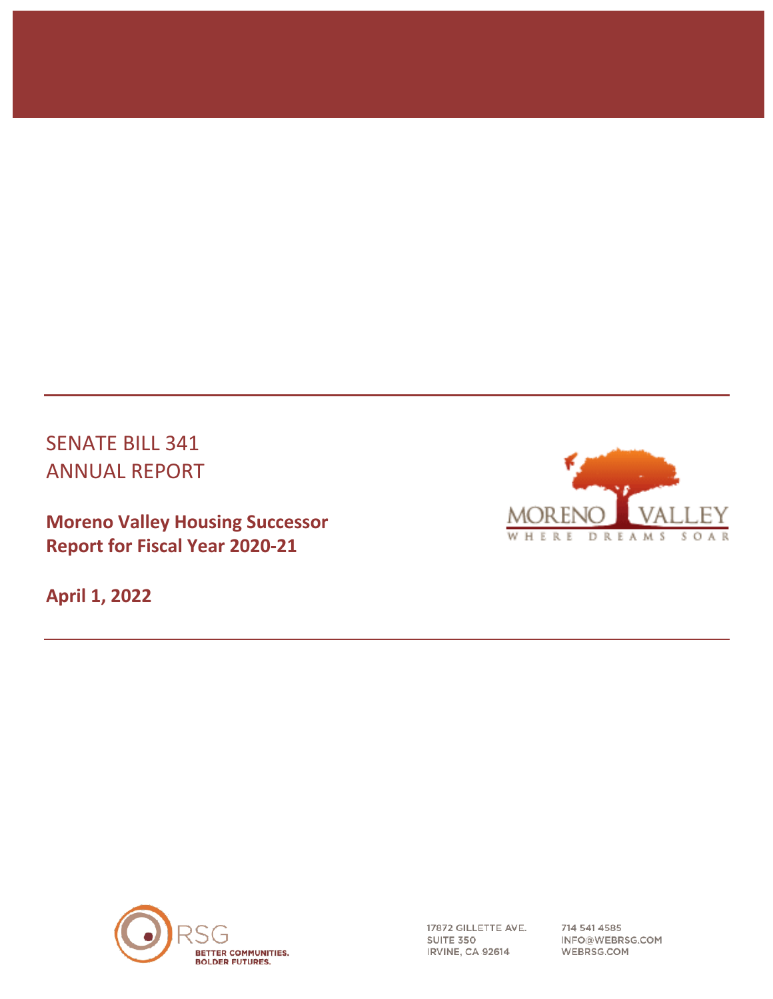# SENATE BILL 341 ANNUAL REPORT

**Moreno Valley Housing Successor Report for Fiscal Year 2020-21**

**April 1, 2022**





17872 GILLETTE AVE. SUITE 350 IRVINE, CA 92614

714 541 4585 INFO@WEBRSG.COM WEBRSG.COM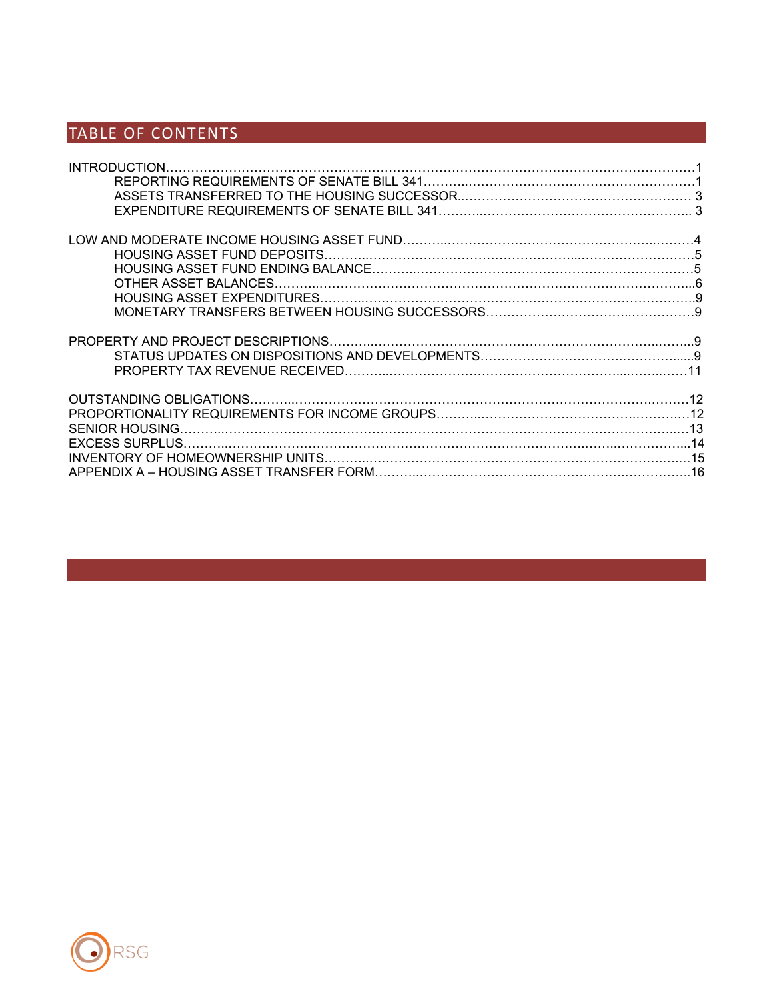# TABLE OF CONTENTS

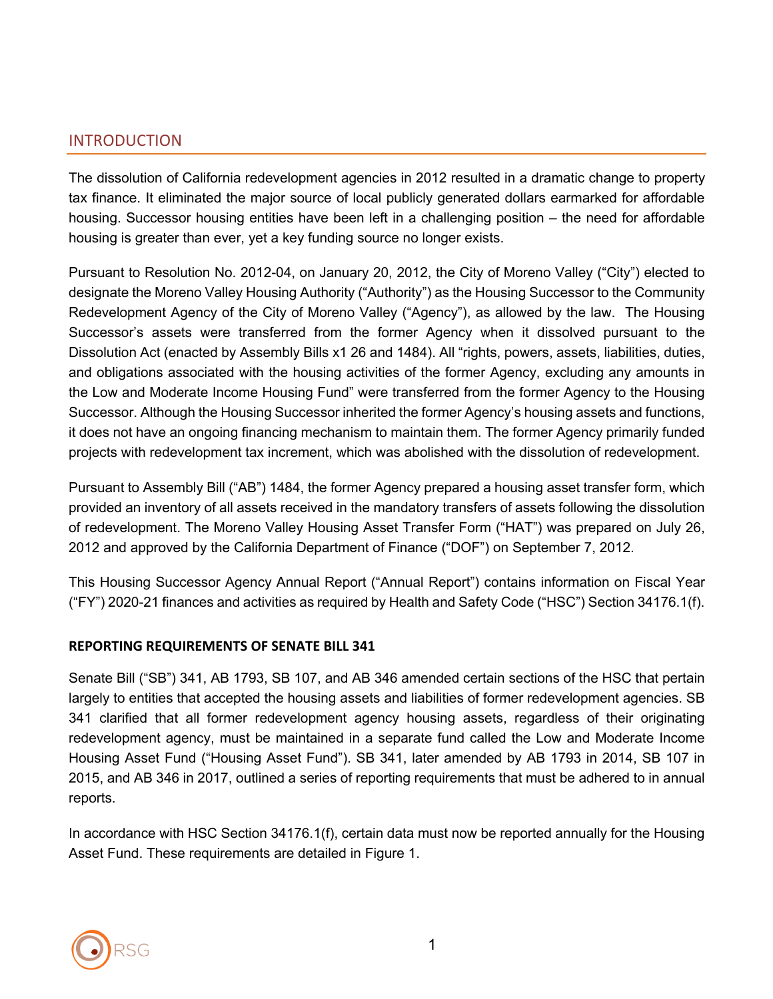### INTRODUCTION

The dissolution of California redevelopment agencies in 2012 resulted in a dramatic change to property tax finance. It eliminated the major source of local publicly generated dollars earmarked for affordable housing. Successor housing entities have been left in a challenging position – the need for affordable housing is greater than ever, yet a key funding source no longer exists.

Pursuant to Resolution No. 2012-04, on January 20, 2012, the City of Moreno Valley ("City") elected to designate the Moreno Valley Housing Authority ("Authority") as the Housing Successor to the Community Redevelopment Agency of the City of Moreno Valley ("Agency"), as allowed by the law. The Housing Successor's assets were transferred from the former Agency when it dissolved pursuant to the Dissolution Act (enacted by Assembly Bills x1 26 and 1484). All "rights, powers, assets, liabilities, duties, and obligations associated with the housing activities of the former Agency, excluding any amounts in the Low and Moderate Income Housing Fund" were transferred from the former Agency to the Housing Successor. Although the Housing Successor inherited the former Agency's housing assets and functions, it does not have an ongoing financing mechanism to maintain them. The former Agency primarily funded projects with redevelopment tax increment, which was abolished with the dissolution of redevelopment.

Pursuant to Assembly Bill ("AB") 1484, the former Agency prepared a housing asset transfer form, which provided an inventory of all assets received in the mandatory transfers of assets following the dissolution of redevelopment. The Moreno Valley Housing Asset Transfer Form ("HAT") was prepared on July 26, 2012 and approved by the California Department of Finance ("DOF") on September 7, 2012.

This Housing Successor Agency Annual Report ("Annual Report") contains information on Fiscal Year ("FY") 2020-21 finances and activities as required by Health and Safety Code ("HSC") Section 34176.1(f).

### **REPORTING REQUIREMENTS OF SENATE BILL 341**

Senate Bill ("SB") 341, AB 1793, SB 107, and AB 346 amended certain sections of the HSC that pertain largely to entities that accepted the housing assets and liabilities of former redevelopment agencies. SB 341 clarified that all former redevelopment agency housing assets, regardless of their originating redevelopment agency, must be maintained in a separate fund called the Low and Moderate Income Housing Asset Fund ("Housing Asset Fund"). SB 341, later amended by AB 1793 in 2014, SB 107 in 2015, and AB 346 in 2017, outlined a series of reporting requirements that must be adhered to in annual reports.

In accordance with HSC Section 34176.1(f), certain data must now be reported annually for the Housing Asset Fund. These requirements are detailed in Figure 1.

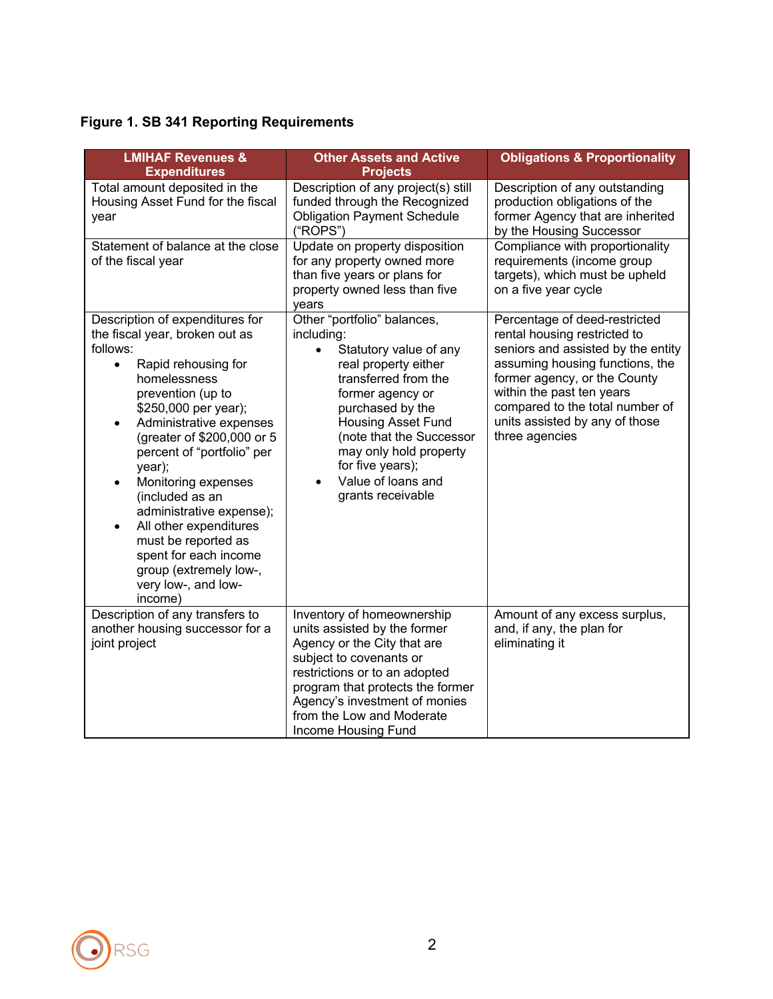# **Figure 1. SB 341 Reporting Requirements**

| <b>LMIHAF Revenues &amp;</b><br><b>Expenditures</b>                                                                                                                                                                                                                                                                                                                                                                                                                                                                        | <b>Other Assets and Active</b><br><b>Projects</b>                                                                                                                                                                                                                                                                          | <b>Obligations &amp; Proportionality</b>                                                                                                                                                                                                                                                   |
|----------------------------------------------------------------------------------------------------------------------------------------------------------------------------------------------------------------------------------------------------------------------------------------------------------------------------------------------------------------------------------------------------------------------------------------------------------------------------------------------------------------------------|----------------------------------------------------------------------------------------------------------------------------------------------------------------------------------------------------------------------------------------------------------------------------------------------------------------------------|--------------------------------------------------------------------------------------------------------------------------------------------------------------------------------------------------------------------------------------------------------------------------------------------|
| Total amount deposited in the<br>Housing Asset Fund for the fiscal<br>year                                                                                                                                                                                                                                                                                                                                                                                                                                                 | Description of any project(s) still<br>funded through the Recognized<br><b>Obligation Payment Schedule</b><br>("ROPS")                                                                                                                                                                                                     | Description of any outstanding<br>production obligations of the<br>former Agency that are inherited<br>by the Housing Successor                                                                                                                                                            |
| Statement of balance at the close<br>of the fiscal year                                                                                                                                                                                                                                                                                                                                                                                                                                                                    | Update on property disposition<br>for any property owned more<br>than five years or plans for<br>property owned less than five<br>years                                                                                                                                                                                    | Compliance with proportionality<br>requirements (income group<br>targets), which must be upheld<br>on a five year cycle                                                                                                                                                                    |
| Description of expenditures for<br>the fiscal year, broken out as<br>follows:<br>Rapid rehousing for<br>$\bullet$<br>homelessness<br>prevention (up to<br>\$250,000 per year);<br>Administrative expenses<br>٠<br>(greater of \$200,000 or 5<br>percent of "portfolio" per<br>year);<br>Monitoring expenses<br>$\bullet$<br>(included as an<br>administrative expense);<br>All other expenditures<br>$\bullet$<br>must be reported as<br>spent for each income<br>group (extremely low-,<br>very low-, and low-<br>income) | Other "portfolio" balances,<br>including:<br>$\bullet$<br>Statutory value of any<br>real property either<br>transferred from the<br>former agency or<br>purchased by the<br><b>Housing Asset Fund</b><br>(note that the Successor<br>may only hold property<br>for five years);<br>Value of loans and<br>grants receivable | Percentage of deed-restricted<br>rental housing restricted to<br>seniors and assisted by the entity<br>assuming housing functions, the<br>former agency, or the County<br>within the past ten years<br>compared to the total number of<br>units assisted by any of those<br>three agencies |
| Description of any transfers to<br>another housing successor for a<br>joint project                                                                                                                                                                                                                                                                                                                                                                                                                                        | Inventory of homeownership<br>units assisted by the former<br>Agency or the City that are<br>subject to covenants or<br>restrictions or to an adopted<br>program that protects the former<br>Agency's investment of monies<br>from the Low and Moderate<br>Income Housing Fund                                             | Amount of any excess surplus,<br>and, if any, the plan for<br>eliminating it                                                                                                                                                                                                               |

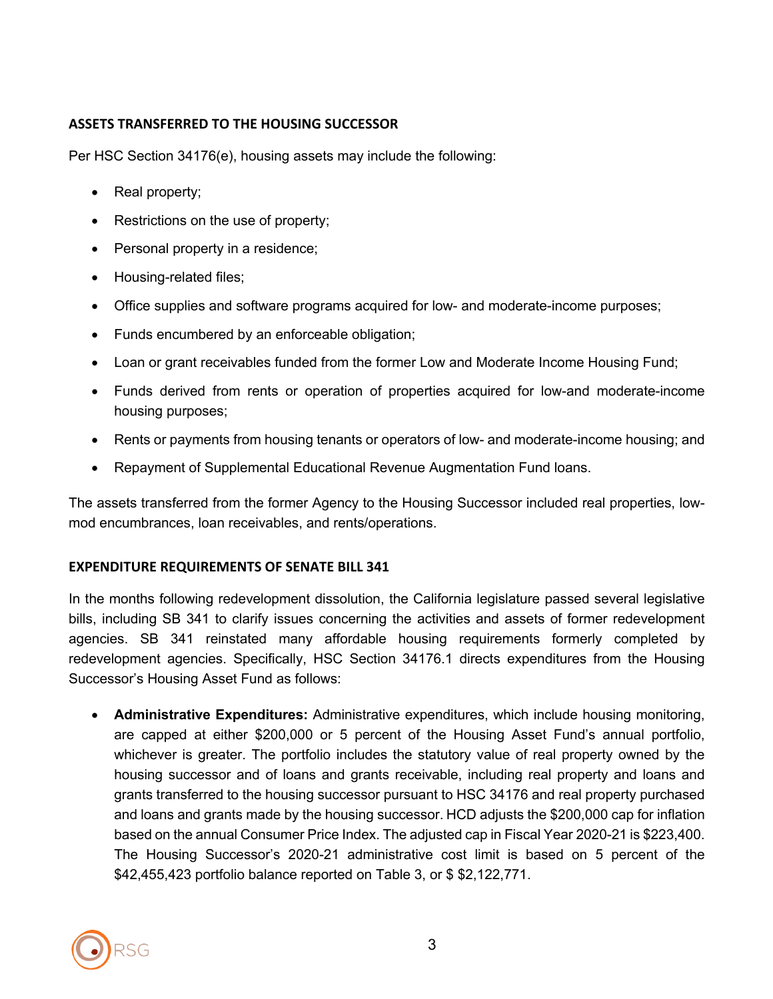### **ASSETS TRANSFERRED TO THE HOUSING SUCCESSOR**

Per HSC Section 34176(e), housing assets may include the following:

- Real property;
- Restrictions on the use of property;
- Personal property in a residence;
- Housing-related files;
- Office supplies and software programs acquired for low- and moderate-income purposes;
- Funds encumbered by an enforceable obligation;
- Loan or grant receivables funded from the former Low and Moderate Income Housing Fund;
- Funds derived from rents or operation of properties acquired for low-and moderate-income housing purposes;
- Rents or payments from housing tenants or operators of low- and moderate-income housing; and
- Repayment of Supplemental Educational Revenue Augmentation Fund loans.

The assets transferred from the former Agency to the Housing Successor included real properties, lowmod encumbrances, loan receivables, and rents/operations.

### **EXPENDITURE REQUIREMENTS OF SENATE BILL 341**

In the months following redevelopment dissolution, the California legislature passed several legislative bills, including SB 341 to clarify issues concerning the activities and assets of former redevelopment agencies. SB 341 reinstated many affordable housing requirements formerly completed by redevelopment agencies. Specifically, HSC Section 34176.1 directs expenditures from the Housing Successor's Housing Asset Fund as follows:

• **Administrative Expenditures:** Administrative expenditures, which include housing monitoring, are capped at either \$200,000 or 5 percent of the Housing Asset Fund's annual portfolio, whichever is greater. The portfolio includes the statutory value of real property owned by the housing successor and of loans and grants receivable, including real property and loans and grants transferred to the housing successor pursuant to HSC 34176 and real property purchased and loans and grants made by the housing successor. HCD adjusts the \$200,000 cap for inflation based on the annual Consumer Price Index. The adjusted cap in Fiscal Year 2020-21 is \$223,400. The Housing Successor's 2020-21 administrative cost limit is based on 5 percent of the \$42,455,423 portfolio balance reported on Table 3, or \$ \$2,122,771.

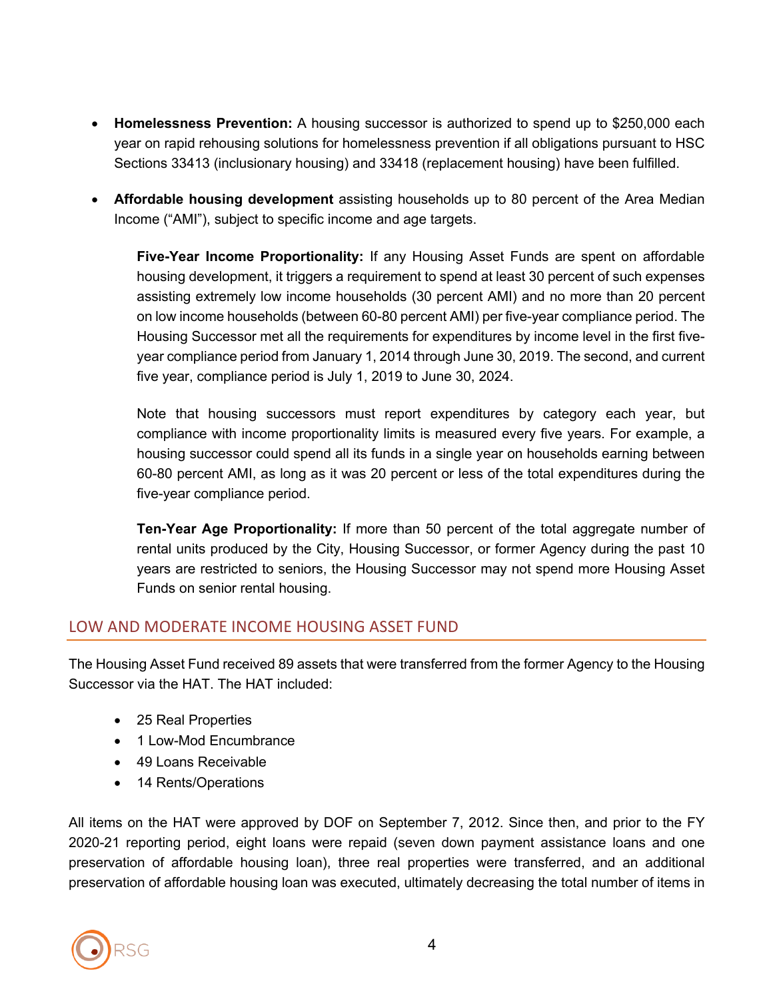- **Homelessness Prevention:** A housing successor is authorized to spend up to \$250,000 each year on rapid rehousing solutions for homelessness prevention if all obligations pursuant to HSC Sections 33413 (inclusionary housing) and 33418 (replacement housing) have been fulfilled.
- **Affordable housing development** assisting households up to 80 percent of the Area Median Income ("AMI"), subject to specific income and age targets.

**Five-Year Income Proportionality:** If any Housing Asset Funds are spent on affordable housing development, it triggers a requirement to spend at least 30 percent of such expenses assisting extremely low income households (30 percent AMI) and no more than 20 percent on low income households (between 60-80 percent AMI) per five-year compliance period. The Housing Successor met all the requirements for expenditures by income level in the first fiveyear compliance period from January 1, 2014 through June 30, 2019. The second, and current five year, compliance period is July 1, 2019 to June 30, 2024.

Note that housing successors must report expenditures by category each year, but compliance with income proportionality limits is measured every five years. For example, a housing successor could spend all its funds in a single year on households earning between 60-80 percent AMI, as long as it was 20 percent or less of the total expenditures during the five-year compliance period.

**Ten-Year Age Proportionality:** If more than 50 percent of the total aggregate number of rental units produced by the City, Housing Successor, or former Agency during the past 10 years are restricted to seniors, the Housing Successor may not spend more Housing Asset Funds on senior rental housing.

# LOW AND MODERATE INCOME HOUSING ASSET FUND

The Housing Asset Fund received 89 assets that were transferred from the former Agency to the Housing Successor via the HAT. The HAT included:

- 25 Real Properties
- 1 Low-Mod Encumbrance
- 49 Loans Receivable
- 14 Rents/Operations

All items on the HAT were approved by DOF on September 7, 2012. Since then, and prior to the FY 2020-21 reporting period, eight loans were repaid (seven down payment assistance loans and one preservation of affordable housing loan), three real properties were transferred, and an additional preservation of affordable housing loan was executed, ultimately decreasing the total number of items in

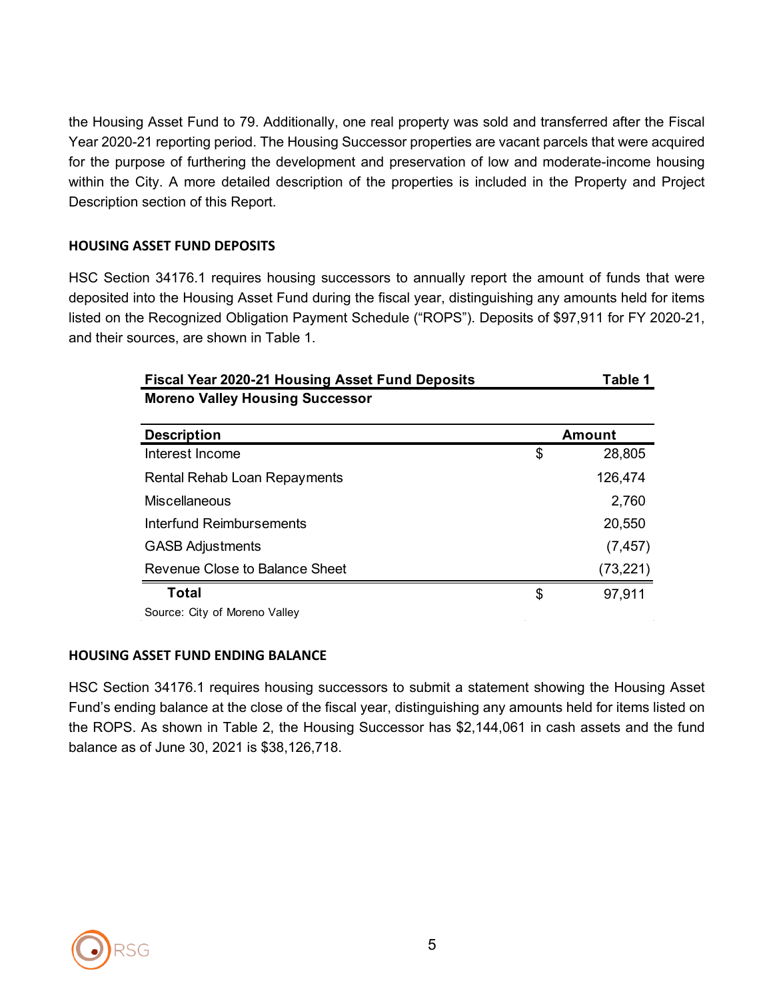the Housing Asset Fund to 79. Additionally, one real property was sold and transferred after the Fiscal Year 2020-21 reporting period. The Housing Successor properties are vacant parcels that were acquired for the purpose of furthering the development and preservation of low and moderate-income housing within the City. A more detailed description of the properties is included in the Property and Project Description section of this Report.

### **HOUSING ASSET FUND DEPOSITS**

HSC Section 34176.1 requires housing successors to annually report the amount of funds that were deposited into the Housing Asset Fund during the fiscal year, distinguishing any amounts held for items listed on the Recognized Obligation Payment Schedule ("ROPS"). Deposits of \$97,911 for FY 2020-21, and their sources, are shown in Table 1.

| <b>Fiscal Year 2020-21 Housing Asset Fund Deposits</b> | Table 1      |
|--------------------------------------------------------|--------------|
| <b>Moreno Valley Housing Successor</b>                 |              |
| <b>Description</b>                                     | Amount       |
| Interest Income                                        | \$<br>28,805 |
| <b>Rental Rehab Loan Repayments</b>                    | 126,474      |
| Miscellaneous                                          | 2,760        |
| Interfund Reimbursements                               | 20,550       |
| <b>GASB Adjustments</b>                                | (7, 457)     |
| Revenue Close to Balance Sheet                         | (73,221)     |
| Total                                                  | \$<br>97,911 |
| Source: City of Moreno Valley                          |              |

#### **HOUSING ASSET FUND ENDING BALANCE**

HSC Section 34176.1 requires housing successors to submit a statement showing the Housing Asset Fund's ending balance at the close of the fiscal year, distinguishing any amounts held for items listed on the ROPS. As shown in Table 2, the Housing Successor has \$2,144,061 in cash assets and the fund balance as of June 30, 2021 is \$38,126,718.

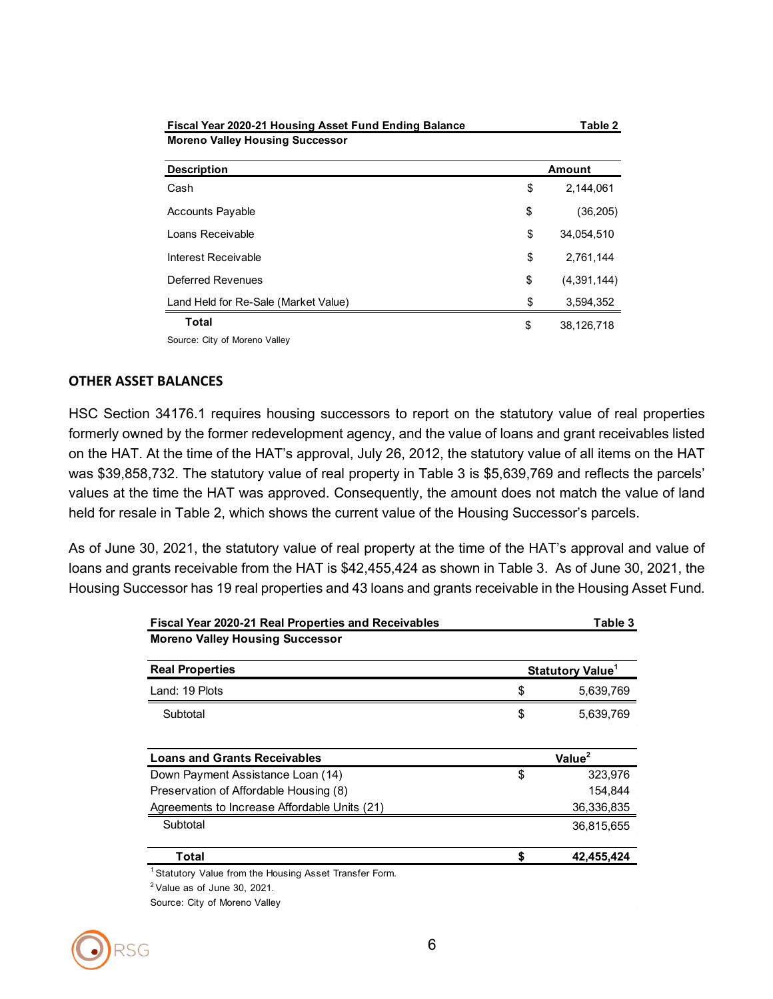| Fiscal Year 2020-21 Housing Asset Fund Ending Balance | Table 2           |
|-------------------------------------------------------|-------------------|
| <b>Moreno Valley Housing Successor</b>                |                   |
| <b>Description</b>                                    | Amount            |
| Cash                                                  | \$<br>2,144,061   |
| <b>Accounts Payable</b>                               | \$<br>(36,205)    |
| Loans Receivable                                      | \$<br>34.054.510  |
| Interest Receivable                                   | \$<br>2,761,144   |
| Deferred Revenues                                     | \$<br>(4,391,144) |
| Land Held for Re-Sale (Market Value)                  | \$<br>3,594,352   |
| Total                                                 | \$<br>38,126,718  |
| Source: City of Moreno Valley                         |                   |

#### **OTHER ASSET BALANCES**

HSC Section 34176.1 requires housing successors to report on the statutory value of real properties formerly owned by the former redevelopment agency, and the value of loans and grant receivables listed on the HAT. At the time of the HAT's approval, July 26, 2012, the statutory value of all items on the HAT was \$39,858,732. The statutory value of real property in Table 3 is \$5,639,769 and reflects the parcels' values at the time the HAT was approved. Consequently, the amount does not match the value of land held for resale in Table 2, which shows the current value of the Housing Successor's parcels.

As of June 30, 2021, the statutory value of real property at the time of the HAT's approval and value of loans and grants receivable from the HAT is \$42,455,424 as shown in Table 3. As of June 30, 2021, the Housing Successor has 19 real properties and 43 loans and grants receivable in the Housing Asset Fund.

| <b>Fiscal Year 2020-21 Real Properties and Receivables</b>         | Table 3                      |
|--------------------------------------------------------------------|------------------------------|
| <b>Moreno Valley Housing Successor</b>                             |                              |
| <b>Real Properties</b>                                             | Statutory Value <sup>1</sup> |
| Land: 19 Plots                                                     | \$<br>5,639,769              |
| Subtotal                                                           | \$<br>5,639,769              |
| <b>Loans and Grants Receivables</b>                                | Value <sup>2</sup>           |
| Down Payment Assistance Loan (14)                                  | \$<br>323,976                |
| Preservation of Affordable Housing (8)                             | 154,844                      |
| Agreements to Increase Affordable Units (21)                       | 36,336,835                   |
| Subtotal                                                           | 36,815,655                   |
| Total                                                              | 42,455,424                   |
| <sup>1</sup> Statutory Value from the Housing Asset Transfer Form. |                              |
| $2$ Value as of June 30, 2021.                                     |                              |
| Source: City of Moreno Valley                                      |                              |

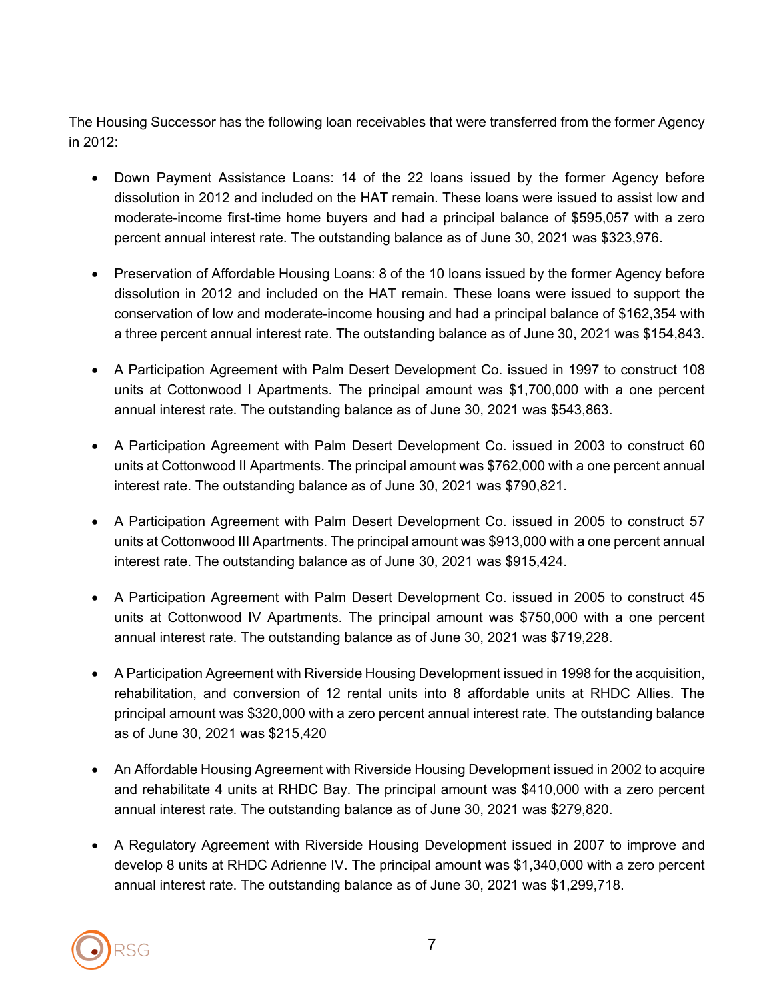The Housing Successor has the following loan receivables that were transferred from the former Agency in 2012:

- Down Payment Assistance Loans: 14 of the 22 loans issued by the former Agency before dissolution in 2012 and included on the HAT remain. These loans were issued to assist low and moderate-income first-time home buyers and had a principal balance of \$595,057 with a zero percent annual interest rate. The outstanding balance as of June 30, 2021 was \$323,976.
- Preservation of Affordable Housing Loans: 8 of the 10 loans issued by the former Agency before dissolution in 2012 and included on the HAT remain. These loans were issued to support the conservation of low and moderate-income housing and had a principal balance of \$162,354 with a three percent annual interest rate. The outstanding balance as of June 30, 2021 was \$154,843.
- A Participation Agreement with Palm Desert Development Co. issued in 1997 to construct 108 units at Cottonwood I Apartments. The principal amount was \$1,700,000 with a one percent annual interest rate. The outstanding balance as of June 30, 2021 was \$543,863.
- A Participation Agreement with Palm Desert Development Co. issued in 2003 to construct 60 units at Cottonwood II Apartments. The principal amount was \$762,000 with a one percent annual interest rate. The outstanding balance as of June 30, 2021 was \$790,821.
- A Participation Agreement with Palm Desert Development Co. issued in 2005 to construct 57 units at Cottonwood III Apartments. The principal amount was \$913,000 with a one percent annual interest rate. The outstanding balance as of June 30, 2021 was \$915,424.
- A Participation Agreement with Palm Desert Development Co. issued in 2005 to construct 45 units at Cottonwood IV Apartments. The principal amount was \$750,000 with a one percent annual interest rate. The outstanding balance as of June 30, 2021 was \$719,228.
- A Participation Agreement with Riverside Housing Development issued in 1998 for the acquisition, rehabilitation, and conversion of 12 rental units into 8 affordable units at RHDC Allies. The principal amount was \$320,000 with a zero percent annual interest rate. The outstanding balance as of June 30, 2021 was \$215,420
- An Affordable Housing Agreement with Riverside Housing Development issued in 2002 to acquire and rehabilitate 4 units at RHDC Bay. The principal amount was \$410,000 with a zero percent annual interest rate. The outstanding balance as of June 30, 2021 was \$279,820.
- A Regulatory Agreement with Riverside Housing Development issued in 2007 to improve and develop 8 units at RHDC Adrienne IV. The principal amount was \$1,340,000 with a zero percent annual interest rate. The outstanding balance as of June 30, 2021 was \$1,299,718.

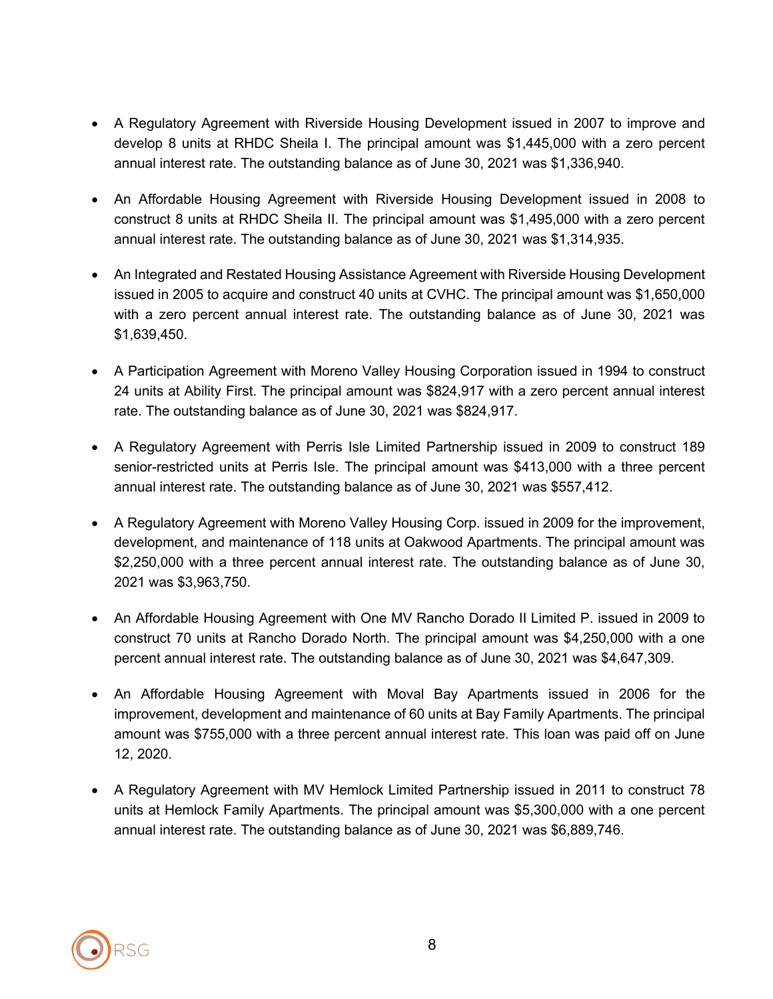- A Regulatory Agreement with Riverside Housing Development issued in 2007 to improve and develop 8 units at RHDC Sheila I. The principal amount was \$1,445,000 with a zero percent annual interest rate. The outstanding balance as of June 30, 2021 was \$1,336,940.
- An Affordable Housing Agreement with Riverside Housing Development issued in 2008 to construct 8 units at RHDC Sheila II. The principal amount was \$1,495,000 with a zero percent annual interest rate. The outstanding balance as of June 30, 2021 was \$1,314,935.
- An Integrated and Restated Housing Assistance Agreement with Riverside Housing Development issued in 2005 to acquire and construct 40 units at CVHC. The principal amount was \$1,650,000 with a zero percent annual interest rate. The outstanding balance as of June 30, 2021 was \$1,639,450.
- A Participation Agreement with Moreno Valley Housing Corporation issued in 1994 to construct 24 units at Ability First. The principal amount was \$824,917 with a zero percent annual interest rate. The outstanding balance as of June 30, 2021 was \$824,917.
- A Regulatory Agreement with Perris Isle Limited Partnership issued in 2009 to construct 189 senior-restricted units at Perris Isle. The principal amount was \$413,000 with a three percent annual interest rate. The outstanding balance as of June 30, 2021 was \$557,412.
- A Regulatory Agreement with Moreno Valley Housing Corp. issued in 2009 for the improvement, development, and maintenance of 118 units at Oakwood Apartments. The principal amount was \$2,250,000 with a three percent annual interest rate. The outstanding balance as of June 30, 2021 was \$3,963,750.
- An Affordable Housing Agreement with One MV Rancho Dorado II Limited P. issued in 2009 to construct 70 units at Rancho Dorado North. The principal amount was \$4,250,000 with a one percent annual interest rate. The outstanding balance as of June 30, 2021 was \$4,647,309.
- An Affordable Housing Agreement with Moval Bay Apartments issued in 2006 for the improvement, development and maintenance of 60 units at Bay Family Apartments. The principal amount was \$755,000 with a three percent annual interest rate. This loan was paid off on June 12, 2020.
- A Regulatory Agreement with MV Hemlock Limited Partnership issued in 2011 to construct 78 units at Hemlock Family Apartments. The principal amount was \$5,300,000 with a one percent annual interest rate. The outstanding balance as of June 30, 2021 was \$6,889,746.

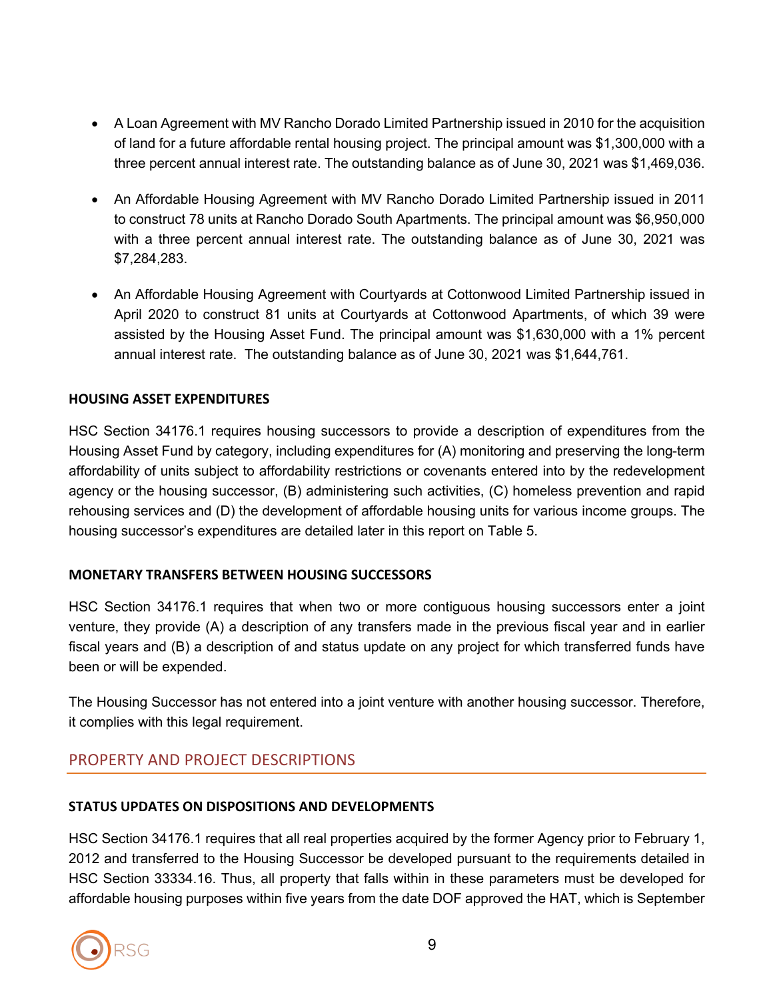- A Loan Agreement with MV Rancho Dorado Limited Partnership issued in 2010 for the acquisition of land for a future affordable rental housing project. The principal amount was \$1,300,000 with a three percent annual interest rate. The outstanding balance as of June 30, 2021 was \$1,469,036.
- An Affordable Housing Agreement with MV Rancho Dorado Limited Partnership issued in 2011 to construct 78 units at Rancho Dorado South Apartments. The principal amount was \$6,950,000 with a three percent annual interest rate. The outstanding balance as of June 30, 2021 was \$7,284,283.
- An Affordable Housing Agreement with Courtyards at Cottonwood Limited Partnership issued in April 2020 to construct 81 units at Courtyards at Cottonwood Apartments, of which 39 were assisted by the Housing Asset Fund. The principal amount was \$1,630,000 with a 1% percent annual interest rate. The outstanding balance as of June 30, 2021 was \$1,644,761.

### **HOUSING ASSET EXPENDITURES**

HSC Section 34176.1 requires housing successors to provide a description of expenditures from the Housing Asset Fund by category, including expenditures for (A) monitoring and preserving the long-term affordability of units subject to affordability restrictions or covenants entered into by the redevelopment agency or the housing successor, (B) administering such activities, (C) homeless prevention and rapid rehousing services and (D) the development of affordable housing units for various income groups. The housing successor's expenditures are detailed later in this report on Table 5.

### **MONETARY TRANSFERS BETWEEN HOUSING SUCCESSORS**

HSC Section 34176.1 requires that when two or more contiguous housing successors enter a joint venture, they provide (A) a description of any transfers made in the previous fiscal year and in earlier fiscal years and (B) a description of and status update on any project for which transferred funds have been or will be expended.

The Housing Successor has not entered into a joint venture with another housing successor. Therefore, it complies with this legal requirement.

# PROPERTY AND PROJECT DESCRIPTIONS

### **STATUS UPDATES ON DISPOSITIONS AND DEVELOPMENTS**

HSC Section 34176.1 requires that all real properties acquired by the former Agency prior to February 1, 2012 and transferred to the Housing Successor be developed pursuant to the requirements detailed in HSC Section 33334.16. Thus, all property that falls within in these parameters must be developed for affordable housing purposes within five years from the date DOF approved the HAT, which is September

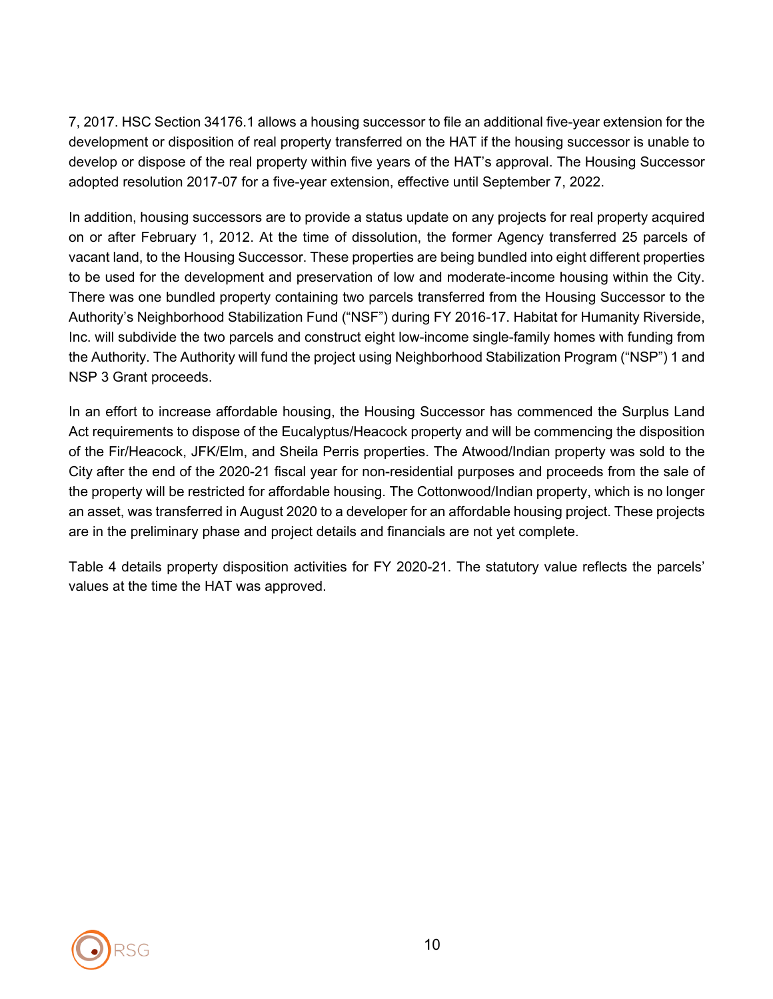7, 2017. HSC Section 34176.1 allows a housing successor to file an additional five-year extension for the development or disposition of real property transferred on the HAT if the housing successor is unable to develop or dispose of the real property within five years of the HAT's approval. The Housing Successor adopted resolution 2017-07 for a five-year extension, effective until September 7, 2022.

In addition, housing successors are to provide a status update on any projects for real property acquired on or after February 1, 2012. At the time of dissolution, the former Agency transferred 25 parcels of vacant land, to the Housing Successor. These properties are being bundled into eight different properties to be used for the development and preservation of low and moderate-income housing within the City. There was one bundled property containing two parcels transferred from the Housing Successor to the Authority's Neighborhood Stabilization Fund ("NSF") during FY 2016-17. Habitat for Humanity Riverside, Inc. will subdivide the two parcels and construct eight low-income single-family homes with funding from the Authority. The Authority will fund the project using Neighborhood Stabilization Program ("NSP") 1 and NSP 3 Grant proceeds.

In an effort to increase affordable housing, the Housing Successor has commenced the Surplus Land Act requirements to dispose of the Eucalyptus/Heacock property and will be commencing the disposition of the Fir/Heacock, JFK/Elm, and Sheila Perris properties. The Atwood/Indian property was sold to the City after the end of the 2020-21 fiscal year for non-residential purposes and proceeds from the sale of the property will be restricted for affordable housing. The Cottonwood/Indian property, which is no longer an asset, was transferred in August 2020 to a developer for an affordable housing project. These projects are in the preliminary phase and project details and financials are not yet complete.

Table 4 details property disposition activities for FY 2020-21. The statutory value reflects the parcels' values at the time the HAT was approved.

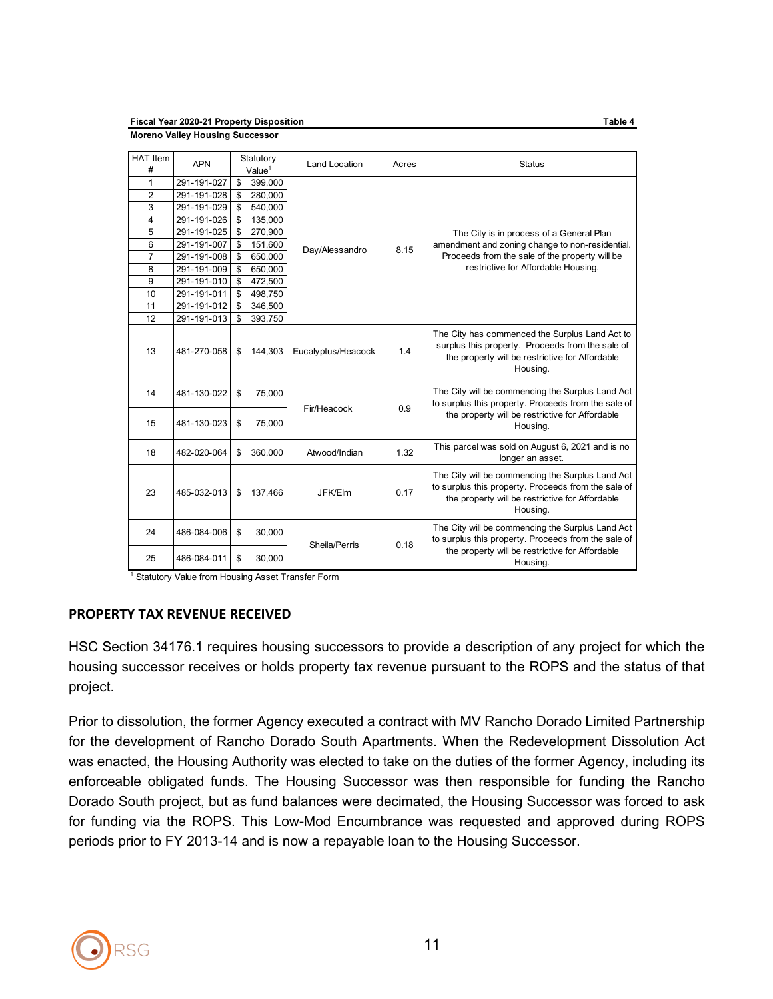**Fiscal Year 2020-21 Property Disposition Table 4 Moreno Valley Housing Successor**

| <b>HAT Item</b> | <b>APN</b>  | Statutory          |         | Land Location      | Acres | <b>Status</b>                                                                                                                                                          |  |  |  |  |
|-----------------|-------------|--------------------|---------|--------------------|-------|------------------------------------------------------------------------------------------------------------------------------------------------------------------------|--|--|--|--|
| #               |             | Value <sup>1</sup> |         |                    |       |                                                                                                                                                                        |  |  |  |  |
| 1               | 291-191-027 | \$                 | 399.000 |                    |       |                                                                                                                                                                        |  |  |  |  |
| $\overline{2}$  | 291-191-028 | \$                 | 280,000 |                    |       |                                                                                                                                                                        |  |  |  |  |
| 3               | 291-191-029 | \$                 | 540,000 |                    |       |                                                                                                                                                                        |  |  |  |  |
| 4               | 291-191-026 | \$                 | 135,000 |                    |       |                                                                                                                                                                        |  |  |  |  |
| 5               | 291-191-025 | \$                 | 270,900 |                    |       | The City is in process of a General Plan                                                                                                                               |  |  |  |  |
| 6               | 291-191-007 | \$                 | 151,600 | Day/Alessandro     | 8.15  | amendment and zoning change to non-residential.                                                                                                                        |  |  |  |  |
| $\overline{7}$  | 291-191-008 | \$                 | 650,000 |                    |       | Proceeds from the sale of the property will be                                                                                                                         |  |  |  |  |
| 8               | 291-191-009 | \$                 | 650,000 |                    |       | restrictive for Affordable Housing.                                                                                                                                    |  |  |  |  |
| 9               | 291-191-010 | \$                 | 472,500 |                    |       |                                                                                                                                                                        |  |  |  |  |
| 10              | 291-191-011 | \$                 | 498,750 |                    |       |                                                                                                                                                                        |  |  |  |  |
| 11              | 291-191-012 | \$                 | 346,500 |                    |       |                                                                                                                                                                        |  |  |  |  |
| 12              | 291-191-013 | \$                 | 393,750 |                    |       |                                                                                                                                                                        |  |  |  |  |
| 13              | 481-270-058 | \$                 | 144,303 | Eucalyptus/Heacock | 1.4   | The City has commenced the Surplus Land Act to<br>surplus this property. Proceeds from the sale of<br>the property will be restrictive for Affordable<br>Housing.      |  |  |  |  |
| 14              | 481-130-022 | \$                 | 75,000  | Fir/Heacock        | 0.9   | The City will be commencing the Surplus Land Act<br>to surplus this property. Proceeds from the sale of                                                                |  |  |  |  |
| 15              | 481-130-023 | \$                 | 75,000  |                    |       | the property will be restrictive for Affordable<br>Housing.                                                                                                            |  |  |  |  |
| 18              | 482-020-064 | \$                 | 360,000 | Atwood/Indian      | 1.32  | This parcel was sold on August 6, 2021 and is no<br>longer an asset.                                                                                                   |  |  |  |  |
| 23              | 485-032-013 | \$                 | 137,466 | JFK/Elm            | 0.17  | The City will be commencing the Surplus Land Act<br>to surplus this property. Proceeds from the sale of<br>the property will be restrictive for Affordable<br>Housing. |  |  |  |  |
| 24              | 486-084-006 | \$                 | 30,000  | Sheila/Perris      | 0.18  | The City will be commencing the Surplus Land Act<br>to surplus this property. Proceeds from the sale of                                                                |  |  |  |  |
| 25              | 486-084-011 | \$                 | 30,000  |                    |       | the property will be restrictive for Affordable<br>Housing.                                                                                                            |  |  |  |  |

<sup>1</sup> Statutory Value from Housing Asset Transfer Form

#### **PROPERTY TAX REVENUE RECEIVED**

HSC Section 34176.1 requires housing successors to provide a description of any project for which the housing successor receives or holds property tax revenue pursuant to the ROPS and the status of that project.

Prior to dissolution, the former Agency executed a contract with MV Rancho Dorado Limited Partnership for the development of Rancho Dorado South Apartments. When the Redevelopment Dissolution Act was enacted, the Housing Authority was elected to take on the duties of the former Agency, including its enforceable obligated funds. The Housing Successor was then responsible for funding the Rancho Dorado South project, but as fund balances were decimated, the Housing Successor was forced to ask for funding via the ROPS. This Low-Mod Encumbrance was requested and approved during ROPS periods prior to FY 2013-14 and is now a repayable loan to the Housing Successor.

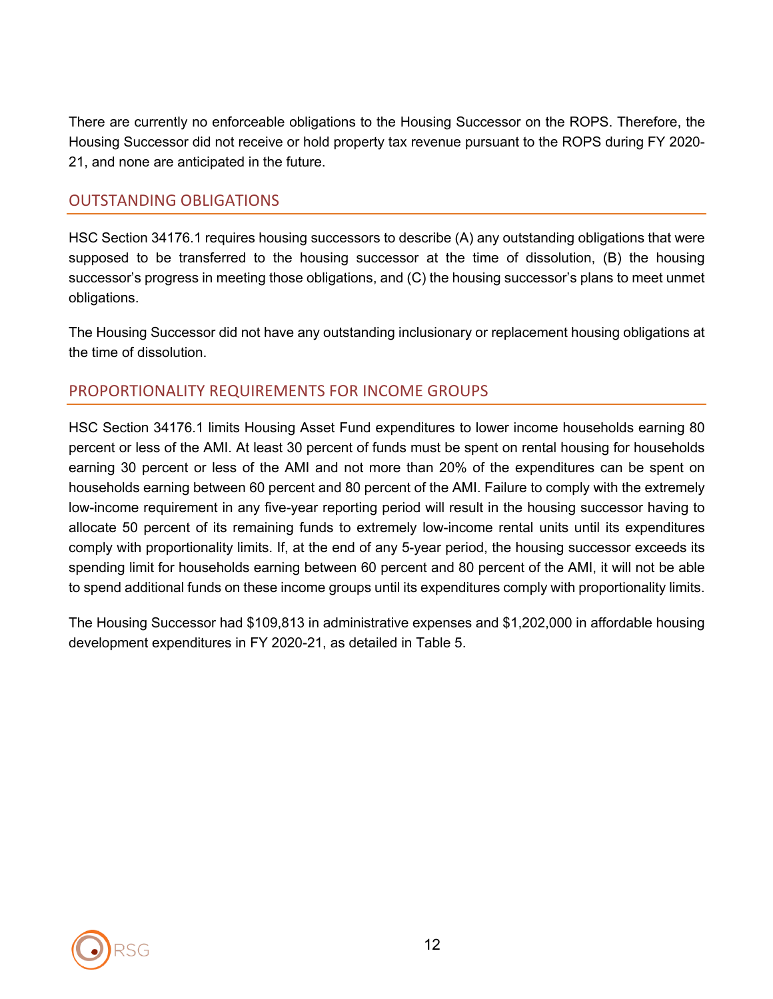There are currently no enforceable obligations to the Housing Successor on the ROPS. Therefore, the Housing Successor did not receive or hold property tax revenue pursuant to the ROPS during FY 2020- 21, and none are anticipated in the future.

### OUTSTANDING OBLIGATIONS

HSC Section 34176.1 requires housing successors to describe (A) any outstanding obligations that were supposed to be transferred to the housing successor at the time of dissolution, (B) the housing successor's progress in meeting those obligations, and (C) the housing successor's plans to meet unmet obligations.

The Housing Successor did not have any outstanding inclusionary or replacement housing obligations at the time of dissolution.

# PROPORTIONALITY REQUIREMENTS FOR INCOME GROUPS

HSC Section 34176.1 limits Housing Asset Fund expenditures to lower income households earning 80 percent or less of the AMI. At least 30 percent of funds must be spent on rental housing for households earning 30 percent or less of the AMI and not more than 20% of the expenditures can be spent on households earning between 60 percent and 80 percent of the AMI. Failure to comply with the extremely low-income requirement in any five-year reporting period will result in the housing successor having to allocate 50 percent of its remaining funds to extremely low-income rental units until its expenditures comply with proportionality limits. If, at the end of any 5-year period, the housing successor exceeds its spending limit for households earning between 60 percent and 80 percent of the AMI, it will not be able to spend additional funds on these income groups until its expenditures comply with proportionality limits.

The Housing Successor had \$109,813 in administrative expenses and \$1,202,000 in affordable housing development expenditures in FY 2020-21, as detailed in Table 5.

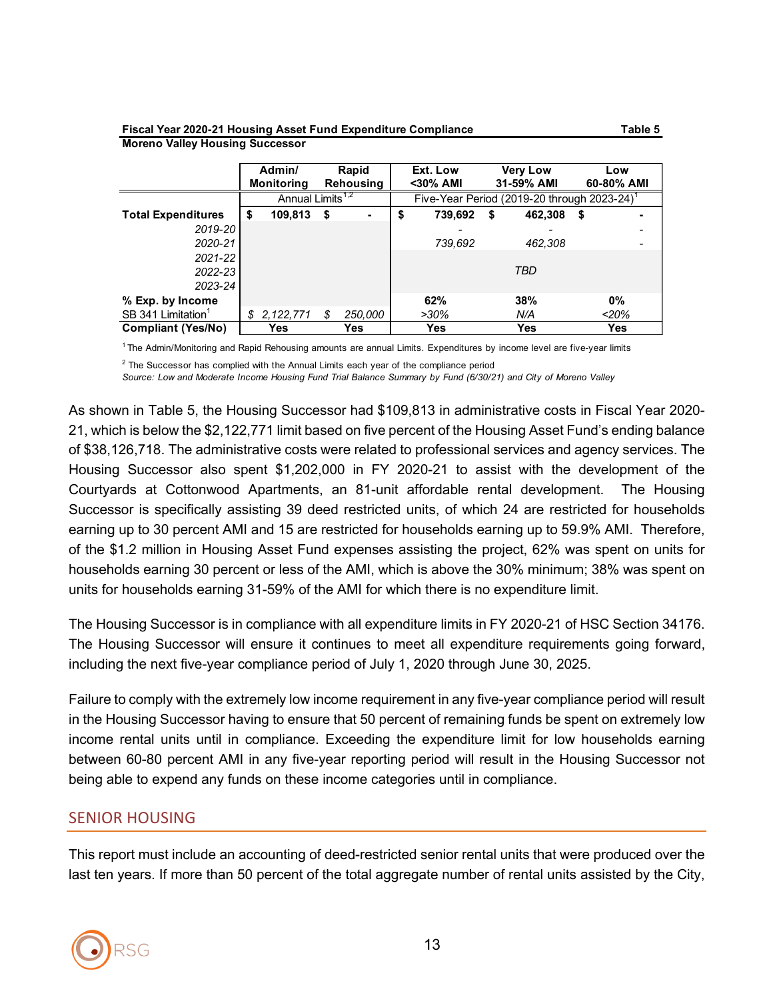### **Fiscal Year 2020-21 Housing Asset Fund Expenditure Compliance Table 5**

#### **Admin/ Rapid Ext. Low Very Low Low Monitoring Rehousing <30% AMI 31-59% AMI 60-80% AMI Total Expenditures \$ 109,813 \$ - \$ 739,692 \$ 462,308 \$ -** *2019-20 - - - 2020-21 739,692 462,308 - 2021-22* Annual Limits<sup>1,2</sup> Five-Year Period (2019-20 through 2023-24)<sup>1</sup>

*TBD*

**Moreno Valley Housing Successor**

*2022-23 2023-24*

**Compliant (Yes/No) Yes Yes Yes Yes Yes** <sup>1</sup> The Admin/Monitoring and Rapid Rehousing amounts are annual Limits. Expenditures by income level are five-year limits

**% Exp. by Income 62% 38% 0%** SB 341 Limitation1 *\$ 2,122,771 \$ 250,000 >30% N/A <20%*

 $2$  The Successor has complied with the Annual Limits each year of the compliance period

*Source: Low and Moderate Income Housing Fund Trial Balance Summary by Fund (6/30/21) and City of Moreno Valley*

As shown in Table 5, the Housing Successor had \$109,813 in administrative costs in Fiscal Year 2020- 21, which is below the \$2,122,771 limit based on five percent of the Housing Asset Fund's ending balance of \$38,126,718. The administrative costs were related to professional services and agency services. The Housing Successor also spent \$1,202,000 in FY 2020-21 to assist with the development of the Courtyards at Cottonwood Apartments, an 81-unit affordable rental development. The Housing Successor is specifically assisting 39 deed restricted units, of which 24 are restricted for households earning up to 30 percent AMI and 15 are restricted for households earning up to 59.9% AMI. Therefore, of the \$1.2 million in Housing Asset Fund expenses assisting the project, 62% was spent on units for households earning 30 percent or less of the AMI, which is above the 30% minimum; 38% was spent on units for households earning 31-59% of the AMI for which there is no expenditure limit.

The Housing Successor is in compliance with all expenditure limits in FY 2020-21 of HSC Section 34176. The Housing Successor will ensure it continues to meet all expenditure requirements going forward, including the next five-year compliance period of July 1, 2020 through June 30, 2025.

Failure to comply with the extremely low income requirement in any five-year compliance period will result in the Housing Successor having to ensure that 50 percent of remaining funds be spent on extremely low income rental units until in compliance. Exceeding the expenditure limit for low households earning between 60-80 percent AMI in any five-year reporting period will result in the Housing Successor not being able to expend any funds on these income categories until in compliance.

### SENIOR HOUSING

This report must include an accounting of deed-restricted senior rental units that were produced over the last ten years. If more than 50 percent of the total aggregate number of rental units assisted by the City,

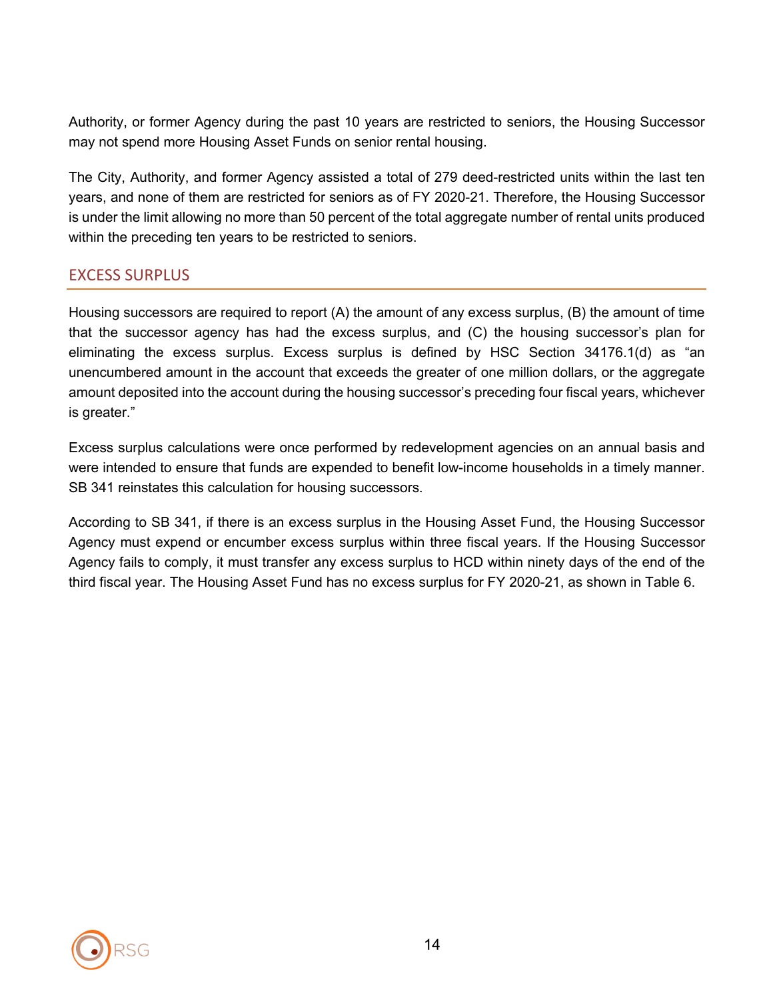Authority, or former Agency during the past 10 years are restricted to seniors, the Housing Successor may not spend more Housing Asset Funds on senior rental housing.

The City, Authority, and former Agency assisted a total of 279 deed-restricted units within the last ten years, and none of them are restricted for seniors as of FY 2020-21. Therefore, the Housing Successor is under the limit allowing no more than 50 percent of the total aggregate number of rental units produced within the preceding ten years to be restricted to seniors.

## EXCESS SURPLUS

Housing successors are required to report (A) the amount of any excess surplus, (B) the amount of time that the successor agency has had the excess surplus, and (C) the housing successor's plan for eliminating the excess surplus. Excess surplus is defined by HSC Section 34176.1(d) as "an unencumbered amount in the account that exceeds the greater of one million dollars, or the aggregate amount deposited into the account during the housing successor's preceding four fiscal years, whichever is greater."

Excess surplus calculations were once performed by redevelopment agencies on an annual basis and were intended to ensure that funds are expended to benefit low-income households in a timely manner. SB 341 reinstates this calculation for housing successors.

According to SB 341, if there is an excess surplus in the Housing Asset Fund, the Housing Successor Agency must expend or encumber excess surplus within three fiscal years. If the Housing Successor Agency fails to comply, it must transfer any excess surplus to HCD within ninety days of the end of the third fiscal year. The Housing Asset Fund has no excess surplus for FY 2020-21, as shown in Table 6.

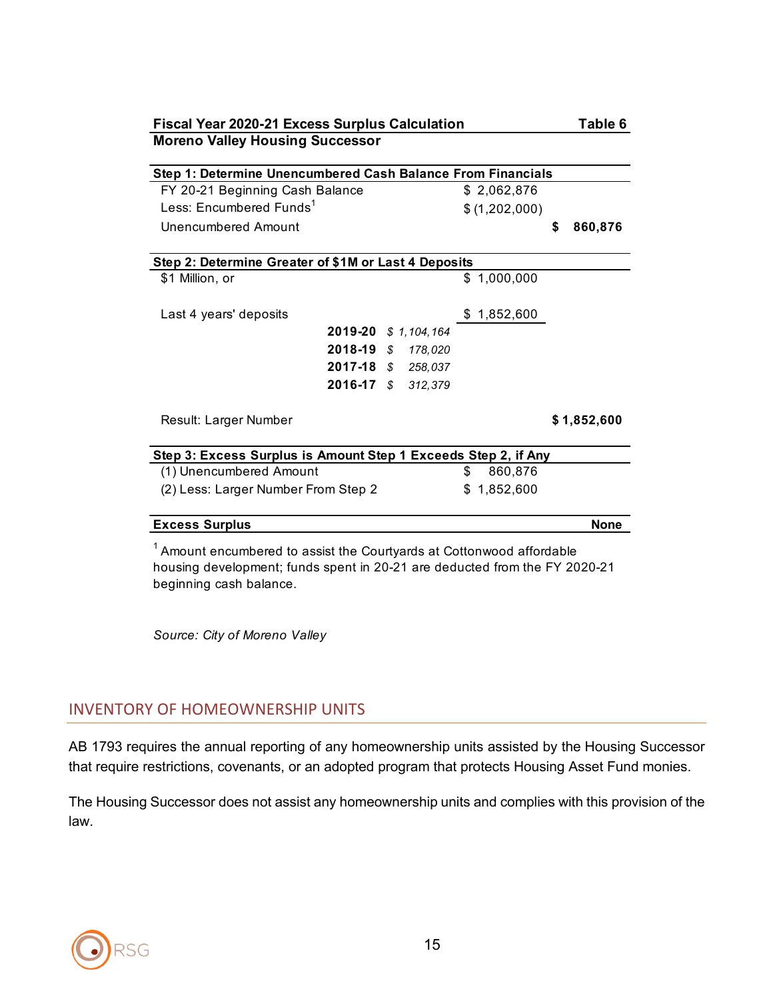| <b>Fiscal Year 2020-21 Excess Surplus Calculation</b>                   |  | Table 6     |   |               |    |             |  |  |  |  |  |  |
|-------------------------------------------------------------------------|--|-------------|---|---------------|----|-------------|--|--|--|--|--|--|
| <b>Moreno Valley Housing Successor</b>                                  |  |             |   |               |    |             |  |  |  |  |  |  |
| Step 1: Determine Unencumbered Cash Balance From Financials             |  |             |   |               |    |             |  |  |  |  |  |  |
| FY 20-21 Beginning Cash Balance                                         |  |             |   |               |    |             |  |  |  |  |  |  |
| Less: Encumbered Funds <sup>1</sup>                                     |  |             |   | \$2,062,876   |    |             |  |  |  |  |  |  |
|                                                                         |  |             |   | \$(1,202,000) |    |             |  |  |  |  |  |  |
| Unencumbered Amount                                                     |  |             |   |               | \$ | 860,876     |  |  |  |  |  |  |
|                                                                         |  |             |   |               |    |             |  |  |  |  |  |  |
| Step 2: Determine Greater of \$1M or Last 4 Deposits                    |  |             |   |               |    |             |  |  |  |  |  |  |
| \$1 Million, or                                                         |  |             |   | \$1,000,000   |    |             |  |  |  |  |  |  |
|                                                                         |  |             |   |               |    |             |  |  |  |  |  |  |
| Last 4 years' deposits                                                  |  |             |   | \$1,852,600   |    |             |  |  |  |  |  |  |
| 2019-20 \$ 1,104,164                                                    |  |             |   |               |    |             |  |  |  |  |  |  |
| 2018-19 \$ 178,020                                                      |  |             |   |               |    |             |  |  |  |  |  |  |
| 2017-18 \$ 258,037                                                      |  |             |   |               |    |             |  |  |  |  |  |  |
| 2016-17 \$ 312,379                                                      |  |             |   |               |    |             |  |  |  |  |  |  |
|                                                                         |  |             |   |               |    |             |  |  |  |  |  |  |
| Result: Larger Number                                                   |  |             |   |               |    | \$1,852,600 |  |  |  |  |  |  |
|                                                                         |  |             |   |               |    |             |  |  |  |  |  |  |
| Step 3: Excess Surplus is Amount Step 1 Exceeds Step 2, if Any          |  |             |   |               |    |             |  |  |  |  |  |  |
| (1) Unencumbered Amount                                                 |  |             | S | 860,876       |    |             |  |  |  |  |  |  |
| (2) Less: Larger Number From Step 2                                     |  | \$1,852,600 |   |               |    |             |  |  |  |  |  |  |
|                                                                         |  |             |   |               |    |             |  |  |  |  |  |  |
| <b>Excess Surplus</b>                                                   |  |             |   |               |    | <b>None</b> |  |  |  |  |  |  |
| $1$ Amount encumbered to assist the Courtyards at Cottonwood affordable |  |             |   |               |    |             |  |  |  |  |  |  |

housing development; funds spent in 20-21 are deducted from the FY 2020-21 beginning cash balance.

*Source: City of Moreno Valley*

# INVENTORY OF HOMEOWNERSHIP UNITS

AB 1793 requires the annual reporting of any homeownership units assisted by the Housing Successor that require restrictions, covenants, or an adopted program that protects Housing Asset Fund monies.

The Housing Successor does not assist any homeownership units and complies with this provision of the law.

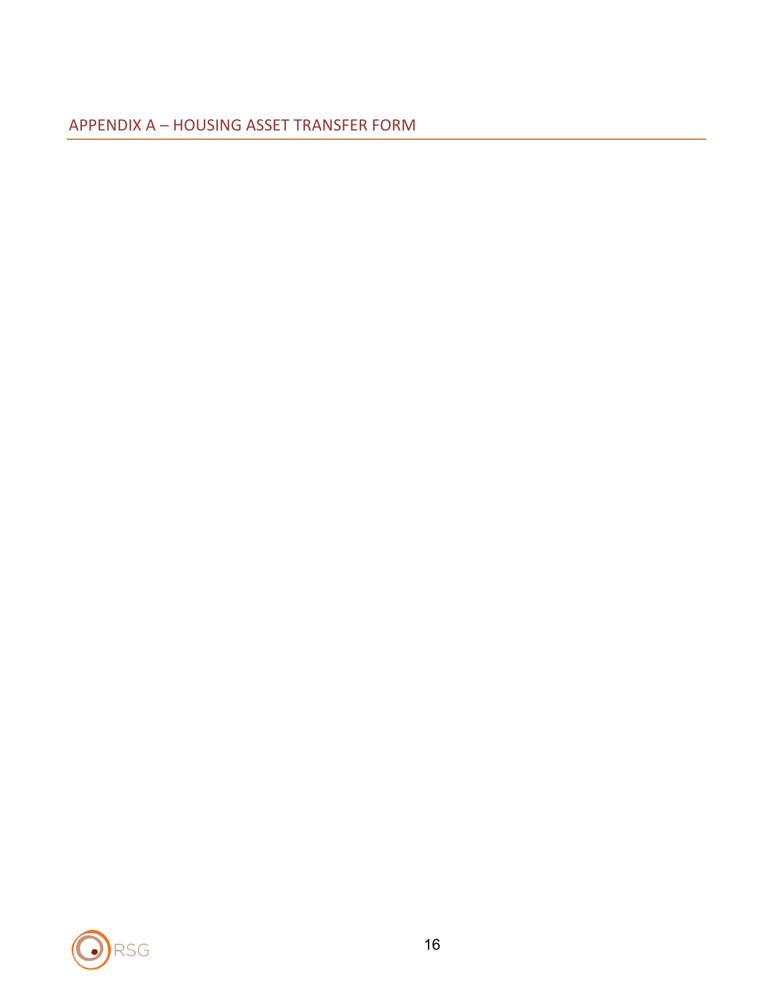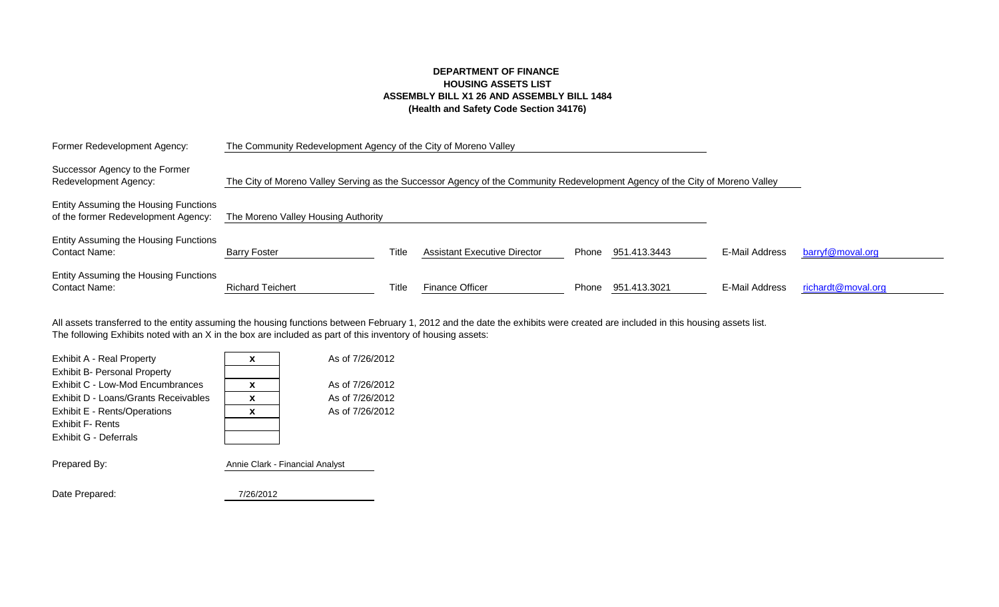#### **DEPARTMENT OF FINANCE HOUSING ASSETS LIST ASSEMBLY BILL X1 26 AND ASSEMBLY BILL 1484 (Health and Safety Code Section 34176)**

| Former Redevelopment Agency:                                                 | The Community Redevelopment Agency of the City of Moreno Valley                                                              |       |                                     |       |              |                |                    |
|------------------------------------------------------------------------------|------------------------------------------------------------------------------------------------------------------------------|-------|-------------------------------------|-------|--------------|----------------|--------------------|
| Successor Agency to the Former<br>Redevelopment Agency:                      | The City of Moreno Valley Serving as the Successor Agency of the Community Redevelopment Agency of the City of Moreno Valley |       |                                     |       |              |                |                    |
| Entity Assuming the Housing Functions<br>of the former Redevelopment Agency: | The Moreno Valley Housing Authority                                                                                          |       |                                     |       |              |                |                    |
| Entity Assuming the Housing Functions<br><b>Contact Name:</b>                | <b>Barry Foster</b>                                                                                                          | Title | <b>Assistant Executive Director</b> | Phone | 951.413.3443 | E-Mail Address | barryf@moval.org   |
| Entity Assuming the Housing Functions<br><b>Contact Name:</b>                | <b>Richard Teichert</b>                                                                                                      | Title | <b>Finance Officer</b>              | Phone | 951.413.3021 | E-Mail Address | richardt@moval.org |

The following Exhibits noted with an X in the box are included as part of this inventory of housing assets: All assets transferred to the entity assuming the housing functions between February 1, 2012 and the date the exhibits were created are included in this housing assets list.

| X                               | As of 7/26/2012 |
|---------------------------------|-----------------|
|                                 |                 |
| X                               | As of 7/26/2012 |
| X                               | As of 7/26/2012 |
| X                               | As of 7/26/2012 |
|                                 |                 |
|                                 |                 |
|                                 |                 |
| Annie Clark - Financial Analyst |                 |
|                                 |                 |
| 7/26/2012                       |                 |
|                                 |                 |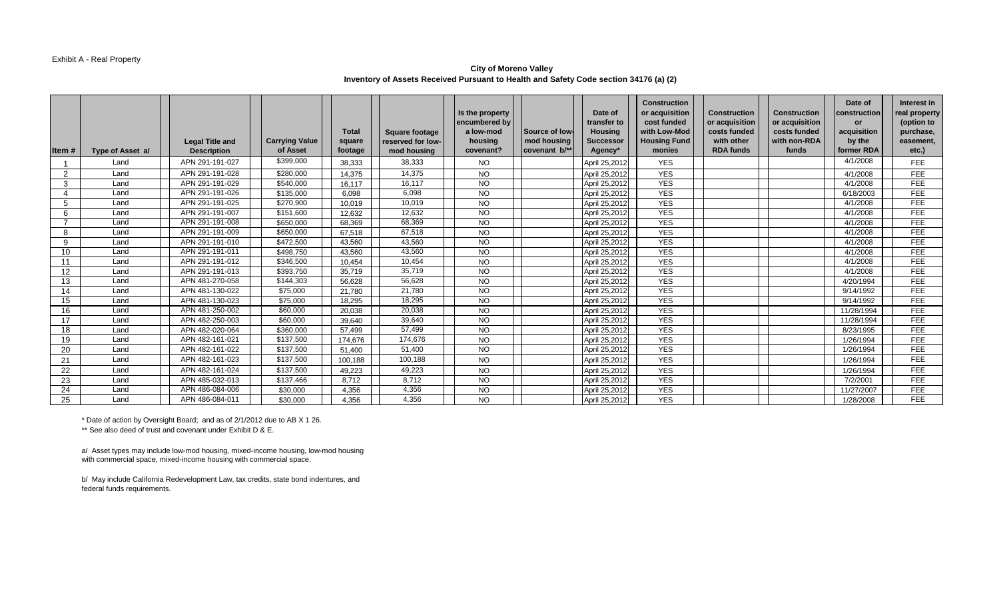#### Exhibit A - Real Property

#### **City of Moreno Valley Inventory of Assets Received Pursuant to Health and Safety Code section 34176 (a) (2)**

| Item#             | Type of Asset a/ | <b>Legal Title and</b><br><b>Description</b> | <b>Carrying Value</b><br>of Asset | <b>Total</b><br>square<br>footage | <b>Square footage</b><br>reserved for low-<br>mod housing | Is the property<br>encumbered by<br>a low-mod<br>housing<br>covenant? | Source of low-<br>mod housing<br>covenant b/** | Date of<br>transfer to<br>Housing<br><b>Successor</b><br>Agency* | <b>Construction</b><br>or acquisition<br>cost funded<br>with Low-Mod<br><b>Housing Fund</b><br>monies | <b>Construction</b><br>or acquisition<br>costs funded<br>with other<br><b>RDA funds</b> | <b>Construction</b><br>or acquisition<br>costs funded<br>with non-RDA<br>funds | Date of<br>construction<br><b>or</b><br>acquisition<br>by the<br>former RDA | Interest in<br>real property<br>(option to<br>purchase,<br>easement,<br>etc.) |
|-------------------|------------------|----------------------------------------------|-----------------------------------|-----------------------------------|-----------------------------------------------------------|-----------------------------------------------------------------------|------------------------------------------------|------------------------------------------------------------------|-------------------------------------------------------------------------------------------------------|-----------------------------------------------------------------------------------------|--------------------------------------------------------------------------------|-----------------------------------------------------------------------------|-------------------------------------------------------------------------------|
|                   | Land             | APN 291-191-027                              | \$399,000                         | 38,333                            | 38,333                                                    | <b>NO</b>                                                             |                                                | April 25,2012                                                    | <b>YES</b>                                                                                            |                                                                                         |                                                                                | 4/1/2008                                                                    | FEE.                                                                          |
| $\mathcal{P}$     | Land             | APN 291-191-028                              | \$280,000                         | 14,375                            | 14,375                                                    | <b>NO</b>                                                             |                                                | April 25,2012                                                    | <b>YES</b>                                                                                            |                                                                                         |                                                                                | 4/1/2008                                                                    | <b>FEE</b>                                                                    |
| 3                 | Land             | APN 291-191-029                              | \$540,000                         | 16.117                            | 16.117                                                    | <b>NO</b>                                                             |                                                | April 25,2012                                                    | <b>YES</b>                                                                                            |                                                                                         |                                                                                | 4/1/2008                                                                    | <b>FEE</b>                                                                    |
| 4                 | Land             | APN 291-191-026                              | \$135,000                         | 6.098                             | 6,098                                                     | <b>NO</b>                                                             |                                                | April 25,2012                                                    | <b>YES</b>                                                                                            |                                                                                         |                                                                                | 6/18/2003                                                                   | FEE                                                                           |
| 5                 | Land             | APN 291-191-025                              | \$270,900                         | 10,019                            | 10,019                                                    | <b>NO</b>                                                             |                                                | April 25,2012                                                    | <b>YES</b>                                                                                            |                                                                                         |                                                                                | 4/1/2008                                                                    | <b>FEE</b>                                                                    |
| 6                 | Land             | APN 291-191-007                              | \$151,600                         | 12,632                            | 12,632                                                    | <b>NO</b>                                                             |                                                | April 25,2012                                                    | <b>YES</b>                                                                                            |                                                                                         |                                                                                | 4/1/2008                                                                    | <b>FEE</b>                                                                    |
|                   | Land             | APN 291-191-008                              | \$650,000                         | 68,369                            | 68,369                                                    | <b>NO</b>                                                             |                                                | April 25,2012                                                    | <b>YES</b>                                                                                            |                                                                                         |                                                                                | 4/1/2008                                                                    | <b>FEE</b>                                                                    |
| 8                 | Land             | APN 291-191-009                              | \$650,000                         | 67,518                            | 67,518                                                    | <b>NO</b>                                                             |                                                | April 25,2012                                                    | <b>YES</b>                                                                                            |                                                                                         |                                                                                | 4/1/2008                                                                    | <b>FEE</b>                                                                    |
| 9                 | Land             | APN 291-191-010                              | \$472,500                         | 43.560                            | 43,560                                                    | <b>NO</b>                                                             |                                                | April 25,2012                                                    | <b>YES</b>                                                                                            |                                                                                         |                                                                                | 4/1/2008                                                                    | <b>FEE</b>                                                                    |
| 10                | Land             | APN 291-191-011                              | \$498,750                         | 43,560                            | 43,560                                                    | <b>NO</b>                                                             |                                                | April 25,2012                                                    | <b>YES</b>                                                                                            |                                                                                         |                                                                                | 4/1/2008                                                                    | <b>FEE</b>                                                                    |
| 11                | Land             | APN 291-191-012                              | \$346,500                         | 10.454                            | 10,454                                                    | <b>NO</b>                                                             |                                                | April 25,2012                                                    | <b>YES</b>                                                                                            |                                                                                         |                                                                                | 4/1/2008                                                                    | <b>FEE</b>                                                                    |
| $12 \overline{ }$ | Land             | APN 291-191-013                              | \$393,750                         | 35,719                            | 35,719                                                    | <b>NO</b>                                                             |                                                | April 25,2012                                                    | <b>YES</b>                                                                                            |                                                                                         |                                                                                | 4/1/2008                                                                    | <b>FEE</b>                                                                    |
| 13                | Land             | APN 481-270-058                              | \$144,303                         | 56,628                            | 56.628                                                    | <b>NO</b>                                                             |                                                | April 25,2012                                                    | <b>YES</b>                                                                                            |                                                                                         |                                                                                | 4/20/1994                                                                   | <b>FEE</b>                                                                    |
| 14                | Land             | APN 481-130-022                              | \$75,000                          | 21.780                            | 21,780                                                    | <b>NO</b>                                                             |                                                | April 25,201                                                     | <b>YES</b>                                                                                            |                                                                                         |                                                                                | 9/14/1992                                                                   | <b>FEE</b>                                                                    |
| 15                | Land             | APN 481-130-023                              | \$75,000                          | 18.295                            | 18,295                                                    | <b>NO</b>                                                             |                                                | April 25,2012                                                    | <b>YES</b>                                                                                            |                                                                                         |                                                                                | 9/14/1992                                                                   | <b>FEE</b>                                                                    |
| 16                | Land             | APN 481-250-002                              | \$60,000                          | 20,038                            | 20,038                                                    | <b>NO</b>                                                             |                                                | April 25,2012                                                    | <b>YES</b>                                                                                            |                                                                                         |                                                                                | 11/28/1994                                                                  | FEE                                                                           |
| 17                | Land             | APN 482-250-003                              | \$60,000                          | 39,640                            | 39,640                                                    | <b>NO</b>                                                             |                                                | April 25,201                                                     | <b>YES</b>                                                                                            |                                                                                         |                                                                                | 11/28/1994                                                                  | <b>FEE</b>                                                                    |
| 18                | Land             | APN 482-020-064                              | \$360,000                         | 57,499                            | 57,499                                                    | <b>NO</b>                                                             |                                                | April 25,2012                                                    | <b>YES</b>                                                                                            |                                                                                         |                                                                                | 8/23/1995                                                                   | FEE                                                                           |
| 19                | Land             | APN 482-161-021                              | \$137,500                         | 174,676                           | 174.676                                                   | <b>NO</b>                                                             |                                                | April 25,2012                                                    | <b>YES</b>                                                                                            |                                                                                         |                                                                                | 1/26/1994                                                                   | <b>FEE</b>                                                                    |
| 20                | Land             | APN 482-161-022                              | \$137,500                         | 51.400                            | 51,400                                                    | <b>NO</b>                                                             |                                                | April 25,2012                                                    | <b>YES</b>                                                                                            |                                                                                         |                                                                                | 1/26/1994                                                                   | FEE                                                                           |
| 21                | Land             | APN 482-161-023                              | \$137,500                         | 100.188                           | 100,188                                                   | <b>NO</b>                                                             |                                                | April 25,2012                                                    | <b>YES</b>                                                                                            |                                                                                         |                                                                                | 1/26/1994                                                                   | <b>FEE</b>                                                                    |
| 22                | Land             | APN 482-161-024                              | \$137,500                         | 49.223                            | 49,223                                                    | <b>NO</b>                                                             |                                                | April 25,2012                                                    | <b>YES</b>                                                                                            |                                                                                         |                                                                                | 1/26/1994                                                                   | <b>FEE</b>                                                                    |
| 23                | Land             | APN 485-032-013                              | \$137,466                         | 8.712                             | 8,712                                                     | <b>NO</b>                                                             |                                                | April 25,2012                                                    | <b>YES</b>                                                                                            |                                                                                         |                                                                                | 7/2/2001                                                                    | <b>FEE</b>                                                                    |
| 24                | Land             | APN 486-084-006                              | \$30,000                          | 4,356                             | 4,356                                                     | <b>NO</b>                                                             |                                                | April 25,2012                                                    | <b>YES</b>                                                                                            |                                                                                         |                                                                                | 11/27/2007                                                                  | <b>FEE</b>                                                                    |
| 25                | Land             | APN 486-084-011                              | \$30,000                          | 4.356                             | 4,356                                                     | <b>NO</b>                                                             |                                                | April 25,2012                                                    | <b>YES</b>                                                                                            |                                                                                         |                                                                                | 1/28/2008                                                                   | <b>FEE</b>                                                                    |

\* Date of action by Oversight Board; and as of 2/1/2012 due to AB X 1 26. \*\* See also deed of trust and covenant under Exhibit D & E.

a/ Asset types may include low-mod housing, mixed-income housing, low-mod housing with commercial space, mixed-income housing with commercial space.

b/ May include California Redevelopment Law, tax credits, state bond indentures, and federal funds requirements.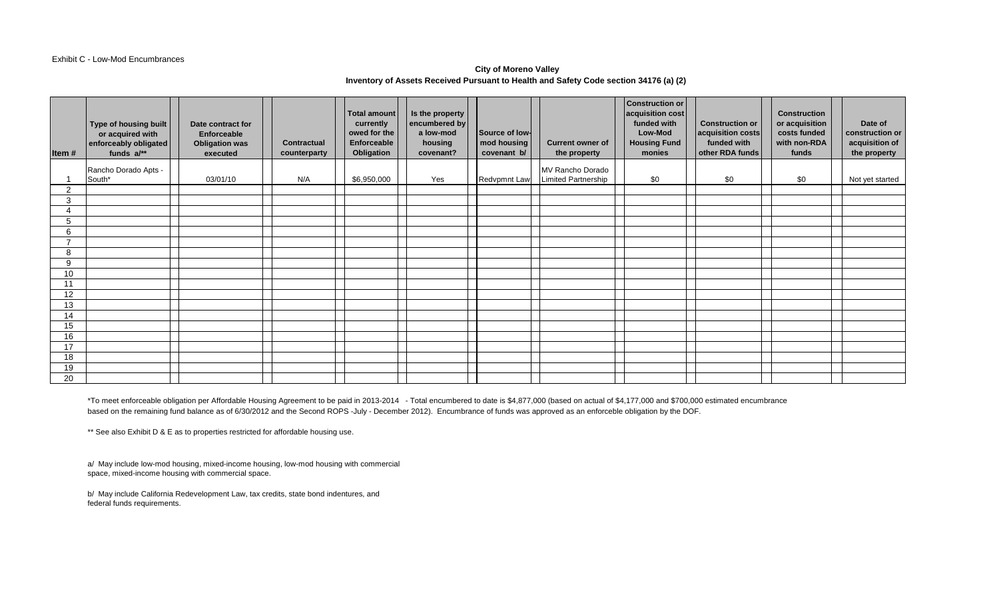#### Exhibit C - Low-Mod Encumbrances

#### **City of Moreno Valley Inventory of Assets Received Pursuant to Health and Safety Code section 34176 (a) (2)**

| Item#          | Type of housing built<br>or acquired with<br>enforceably obligated<br>funds $a/**$ | Date contract for<br><b>Enforceable</b><br><b>Obligation was</b><br>executed | <b>Contractual</b><br>counterparty | Total amount<br>currently<br>owed for the<br>Enforceable<br>Obligation | Is the property<br>encumbered by<br>a low-mod<br>housing<br>covenant? | Source of low-<br>mod housing<br>covenant b/ | <b>Current owner of</b><br>the property | <b>Construction or</b><br>acquisition cost<br>funded with<br>Low-Mod<br><b>Housing Fund</b><br>monies | <b>Construction or</b><br>acquisition costs<br>funded with<br>other RDA funds | <b>Construction</b><br>or acquisition<br>costs funded<br>with non-RDA<br>funds | Date of<br>construction or<br>acquisition of<br>the property |
|----------------|------------------------------------------------------------------------------------|------------------------------------------------------------------------------|------------------------------------|------------------------------------------------------------------------|-----------------------------------------------------------------------|----------------------------------------------|-----------------------------------------|-------------------------------------------------------------------------------------------------------|-------------------------------------------------------------------------------|--------------------------------------------------------------------------------|--------------------------------------------------------------|
|                | Rancho Dorado Apts -                                                               |                                                                              |                                    |                                                                        |                                                                       |                                              | MV Rancho Dorado                        |                                                                                                       |                                                                               |                                                                                |                                                              |
|                | South*                                                                             | 03/01/10                                                                     | N/A                                | \$6,950,000                                                            | Yes                                                                   | <b>Redvpmnt Law</b>                          | <b>Limited Partnership</b>              | \$0                                                                                                   | \$0                                                                           | \$0                                                                            | Not yet started                                              |
| 2              |                                                                                    |                                                                              |                                    |                                                                        |                                                                       |                                              |                                         |                                                                                                       |                                                                               |                                                                                |                                                              |
| 3              |                                                                                    |                                                                              |                                    |                                                                        |                                                                       |                                              |                                         |                                                                                                       |                                                                               |                                                                                |                                                              |
| $\overline{4}$ |                                                                                    |                                                                              |                                    |                                                                        |                                                                       |                                              |                                         |                                                                                                       |                                                                               |                                                                                |                                                              |
| 5              |                                                                                    |                                                                              |                                    |                                                                        |                                                                       |                                              |                                         |                                                                                                       |                                                                               |                                                                                |                                                              |
| 6              |                                                                                    |                                                                              |                                    |                                                                        |                                                                       |                                              |                                         |                                                                                                       |                                                                               |                                                                                |                                                              |
| $\overline{ }$ |                                                                                    |                                                                              |                                    |                                                                        |                                                                       |                                              |                                         |                                                                                                       |                                                                               |                                                                                |                                                              |
| 8              |                                                                                    |                                                                              |                                    |                                                                        |                                                                       |                                              |                                         |                                                                                                       |                                                                               |                                                                                |                                                              |
| 9              |                                                                                    |                                                                              |                                    |                                                                        |                                                                       |                                              |                                         |                                                                                                       |                                                                               |                                                                                |                                                              |
| 10             |                                                                                    |                                                                              |                                    |                                                                        |                                                                       |                                              |                                         |                                                                                                       |                                                                               |                                                                                |                                                              |
| 11             |                                                                                    |                                                                              |                                    |                                                                        |                                                                       |                                              |                                         |                                                                                                       |                                                                               |                                                                                |                                                              |
| 12             |                                                                                    |                                                                              |                                    |                                                                        |                                                                       |                                              |                                         |                                                                                                       |                                                                               |                                                                                |                                                              |
| 13             |                                                                                    |                                                                              |                                    |                                                                        |                                                                       |                                              |                                         |                                                                                                       |                                                                               |                                                                                |                                                              |
| 14             |                                                                                    |                                                                              |                                    |                                                                        |                                                                       |                                              |                                         |                                                                                                       |                                                                               |                                                                                |                                                              |
| 15             |                                                                                    |                                                                              |                                    |                                                                        |                                                                       |                                              |                                         |                                                                                                       |                                                                               |                                                                                |                                                              |
| 16             |                                                                                    |                                                                              |                                    |                                                                        |                                                                       |                                              |                                         |                                                                                                       |                                                                               |                                                                                |                                                              |
| 17             |                                                                                    |                                                                              |                                    |                                                                        |                                                                       |                                              |                                         |                                                                                                       |                                                                               |                                                                                |                                                              |
| 18             |                                                                                    |                                                                              |                                    |                                                                        |                                                                       |                                              |                                         |                                                                                                       |                                                                               |                                                                                |                                                              |
| 19             |                                                                                    |                                                                              |                                    |                                                                        |                                                                       |                                              |                                         |                                                                                                       |                                                                               |                                                                                |                                                              |
| 20             |                                                                                    |                                                                              |                                    |                                                                        |                                                                       |                                              |                                         |                                                                                                       |                                                                               |                                                                                |                                                              |

\*To meet enforceable obligation per Affordable Housing Agreement to be paid in 2013-2014 - Total encumbered to date is \$4,877,000 (based on actual of \$4,177,000 and \$700,000 estimated encumbrance based on the remaining fund balance as of 6/30/2012 and the Second ROPS -July - December 2012). Encumbrance of funds was approved as an enforceble obligation by the DOF.

\*\* See also Exhibit D & E as to properties restricted for affordable housing use.

a/ May include low-mod housing, mixed-income housing, low-mod housing with commercial space, mixed-income housing with commercial space.

b/ May include California Redevelopment Law, tax credits, state bond indentures, and federal funds requirements.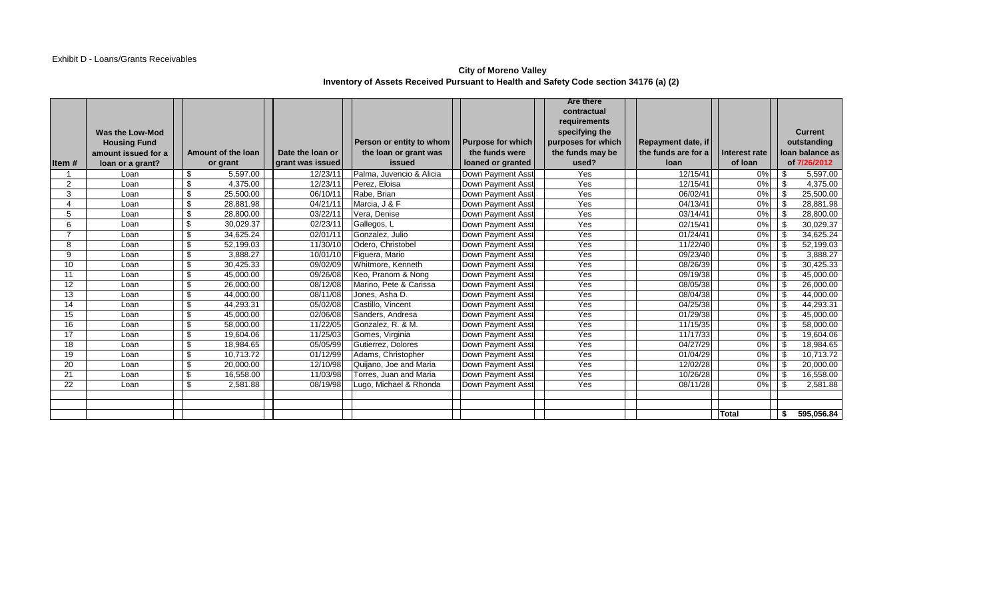#### **City of Moreno Valley Inventory of Assets Received Pursuant to Health and Safety Code section 34176 (a) (2)**

|                 |                                               |                    |                  |                          |                          | <b>Are there</b>            |                     |               |     |                 |
|-----------------|-----------------------------------------------|--------------------|------------------|--------------------------|--------------------------|-----------------------------|---------------------|---------------|-----|-----------------|
|                 |                                               |                    |                  |                          |                          | contractual<br>requirements |                     |               |     |                 |
|                 |                                               |                    |                  |                          |                          | specifying the              |                     |               |     | <b>Current</b>  |
|                 | <b>Was the Low-Mod</b><br><b>Housing Fund</b> |                    |                  | Person or entity to whom | <b>Purpose for which</b> | purposes for which          | Repayment date, if  |               |     | outstanding     |
|                 | amount issued for a                           | Amount of the loan | Date the loan or | the loan or grant was    | the funds were           | the funds may be            | the funds are for a | Interest rate |     | loan balance as |
| Item #          | loan or a grant?                              | or grant           | grant was issued | issued                   | loaned or granted        | used?                       | loan                | of loan       |     | of 7/26/2012    |
|                 | Loan                                          | \$<br>5,597.00     | 12/23/11         | Palma, Juvencio & Alicia | Down Payment Asst        | Yes                         | 12/15/41            | 0%            | \$  | 5,597.00        |
| $\overline{2}$  | Loan                                          | \$<br>4,375.00     | 12/23/11         | Perez, Eloisa            | Down Payment Asst        | Yes                         | 12/15/41            | 0%            | \$  | 4,375.00        |
| 3               | Loan                                          | \$<br>25,500.00    | 06/10/11         | Rabe, Brian              | Down Payment Asst        | Yes                         | 06/02/41            | 0%            | -\$ | 25,500.00       |
| 4               | Loan                                          | \$<br>28,881.98    | 04/21/11         | Marcia, J & F            | Down Payment Asst        | Yes                         | 04/13/41            | 0%            | \$  | 28,881.98       |
| 5               | Loan                                          | \$<br>28,800.00    | 03/22/11         | Vera. Denise             | Down Payment Asst        | Yes                         | 03/14/41            | $0\%$         | -\$ | 28,800.00       |
| 6               | Loan                                          | \$<br>30,029.37    | 02/23/11         | Gallegos, L              | Down Payment Asst        | Yes                         | 02/15/41            | 0%            | \$  | 30,029.37       |
|                 | Loan                                          | \$<br>34,625.24    | 02/01/11         | Gonzalez, Julio          | Down Payment Asst        | Yes                         | 01/24/41            | $0\%$         | \$  | 34,625.24       |
| 8               | Loan                                          | \$<br>52,199.03    | 11/30/10         | Odero, Christobel        | Down Payment Asst        | Yes                         | 11/22/40            | 0%            | -\$ | 52,199.03       |
| 9               | Loan                                          | \$<br>3.888.27     | 10/01/10         | Figuera, Mario           | Down Payment Asst        | Yes                         | 09/23/40            | 0%            | \$  | 3.888.27        |
| 10              | Loan                                          | \$<br>30,425.33    | 09/02/09         | Whitmore, Kenneth        | Down Payment Asst        | Yes                         | 08/26/39            | 0%            | -\$ | 30,425.33       |
| 11              | Loan                                          | \$<br>45,000.00    | 09/26/08         | Keo, Pranom & Nong       | Down Payment Asst        | Yes                         | 09/19/38            | 0%            | -\$ | 45,000.00       |
| 12 <sup>2</sup> | Loan                                          | \$<br>26,000.00    | 08/12/08         | Marino, Pete & Carissa   | Down Payment Asst        | Yes                         | 08/05/38            | 0%            | -\$ | 26,000.00       |
| 13              | Loan                                          | \$<br>44,000.00    | 08/11/08         | Jones, Asha D.           | Down Payment Asst        | Yes                         | 08/04/38            | $0\%$         | \$  | 44,000.00       |
| 14              | Loan                                          | \$<br>44,293.31    | 05/02/08         | Castillo, Vincent        | Down Payment Asst        | Yes                         | 04/25/38            | $0\%$         | -\$ | 44,293.31       |
| 15              | Loan                                          | \$<br>45,000.00    | 02/06/08         | Sanders, Andresa         | Down Payment Asst        | Yes                         | 01/29/38            | 0%            | -\$ | 45,000.00       |
| 16              | Loan                                          | \$<br>58,000.00    | 11/22/05         | Gonzalez, R. & M.        | Down Payment Asst        | Yes                         | 11/15/35            | 0%            | -\$ | 58,000.00       |
| 17              | Loan                                          | \$<br>19,604.06    | 11/25/03         | Gomes, Virginia          | Down Payment Asst        | Yes                         | 11/17/33            | 0%            | -\$ | 19,604.06       |
| 18              | Loan                                          | \$<br>18,984.65    | 05/05/99         | Gutierrez, Dolores       | Down Payment Asst        | Yes                         | 04/27/29            | 0%            | -\$ | 18,984.65       |
| 19              | Loan                                          | \$<br>10,713.72    | 01/12/99         | Adams, Christopher       | Down Payment Asst        | Yes                         | 01/04/29            | 0%            | -\$ | 10,713.72       |
| 20              | Loan                                          | \$<br>20,000.00    | 12/10/98         | Quijano, Joe and Maria   | Down Payment Asst        | Yes                         | 12/02/28            | $0\%$         | -\$ | 20,000.00       |
| 21              | Loan                                          | \$<br>16,558.00    | 11/03/98         | Torres. Juan and Maria   | Down Payment Asst        | Yes                         | 10/26/28            | 0%            | -\$ | 16,558.00       |
| 22              | Loan                                          | \$<br>2,581.88     | 08/19/98         | Lugo, Michael & Rhonda   | Down Payment Asst        | Yes                         | 08/11/28            | 0%            | -\$ | 2,581.88        |
|                 |                                               |                    |                  |                          |                          |                             |                     |               |     |                 |
|                 |                                               |                    |                  |                          |                          |                             |                     |               |     |                 |
|                 |                                               |                    |                  |                          |                          |                             |                     | Total         | \$  | 595,056.84      |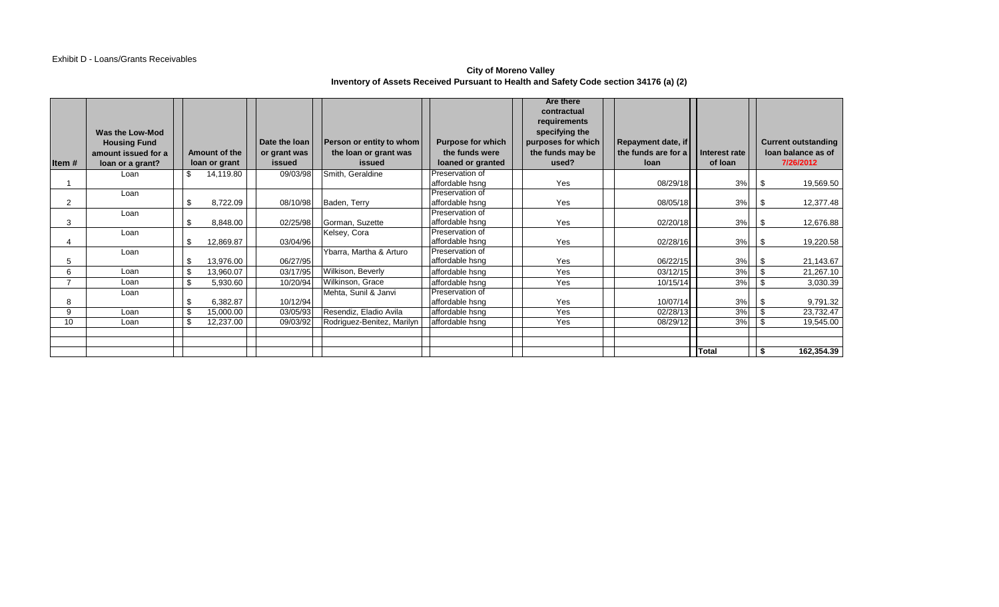#### Exhibit D - Loans/Grants Receivables

#### **City of Moreno Valley Inventory of Assets Received Pursuant to Health and Safety Code section 34176 (a) (2)**

|                |                     |                 |               |                            |                          | <b>Are there</b>   |                     |               |                            |
|----------------|---------------------|-----------------|---------------|----------------------------|--------------------------|--------------------|---------------------|---------------|----------------------------|
|                |                     |                 |               |                            |                          | contractual        |                     |               |                            |
|                |                     |                 |               |                            |                          | requirements       |                     |               |                            |
|                | Was the Low-Mod     |                 |               |                            |                          | specifying the     |                     |               |                            |
|                | <b>Housing Fund</b> |                 | Date the loan | Person or entity to whom   | <b>Purpose for which</b> | purposes for which | Repayment date, if  |               | <b>Current outstanding</b> |
|                | amount issued for a | Amount of the   | or grant was  | the loan or grant was      | the funds were           | the funds may be   | the funds are for a | Interest rate | loan balance as of         |
| Item $#$       | loan or a grant?    | loan or grant   | issued        | issued                     | loaned or granted        | used?              | <b>loan</b>         | of loan       | 7/26/2012                  |
|                | Loan                | \$<br>14,119.80 | 09/03/98      | Smith, Geraldine           | Preservation of          |                    |                     |               |                            |
|                |                     |                 |               |                            | affordable hsng          | <b>Yes</b>         | 08/29/18            | 3%            | -\$<br>19,569.50           |
|                | Loan                |                 |               |                            | Preservation of          |                    |                     |               |                            |
| $\overline{2}$ |                     | \$<br>8,722.09  | 08/10/98      | Baden, Terry               | affordable hsng          | <b>Yes</b>         | 08/05/18            | 3%            | 12,377.48<br>- \$          |
|                | Loan                |                 |               |                            | Preservation of          |                    |                     |               |                            |
| 3              |                     | \$<br>8,848.00  | 02/25/98      | Gorman, Suzette            | affordable hsng          | Yes                | 02/20/18            | 3%            | 12,676.88<br>- \$          |
|                | Loan                |                 |               | Kelsey, Cora               | Preservation of          |                    |                     |               |                            |
|                |                     | \$<br>12,869.87 | 03/04/96      |                            | affordable hsng          | Yes                | 02/28/16            | 3%            | 19,220.58<br>- \$          |
|                | Loan                |                 |               | Ybarra, Martha & Arturo    | Preservation of          |                    |                     |               |                            |
| 5              |                     | \$<br>13,976.00 | 06/27/95      |                            | affordable hsng          | Yes                | 06/22/15            | 3%            | 21,143.67<br>. \$          |
| 6              | Loan                | \$<br>13,960.07 | 03/17/95      | Wilkison, Beverly          | affordable hsng          | Yes                | 03/12/15            | 3%            | 21,267.10                  |
|                | Loan                | \$<br>5,930.60  | 10/20/94      | Wilkinson, Grace           | affordable hsng          | Yes                | 10/15/14            | 3%            | -\$<br>3,030.39            |
|                | Loan                |                 |               | Mehta, Sunil & Janvi       | Preservation of          |                    |                     |               |                            |
| 8              |                     | \$<br>6,382.87  | 10/12/94      |                            | affordable hsng          | Yes                | 10/07/14            | 3%            | 9,791.32<br>-\$            |
| 9              | Loan                | \$<br>15,000.00 | 03/05/93      | Resendiz, Eladio Avila     | affordable hsng          | Yes                | 02/28/13            | 3%            | 23,732.47<br>-S            |
| 10             | Loan                | \$<br>12,237.00 | 09/03/92      | Rodriguez-Benitez, Marilyn | affordable hsng          | Yes                | 08/29/12            | 3%            | 19,545.00                  |
|                |                     |                 |               |                            |                          |                    |                     |               |                            |
|                |                     |                 |               |                            |                          |                    |                     |               |                            |
|                |                     |                 |               |                            |                          |                    |                     | <b>Total</b>  | 162,354.39                 |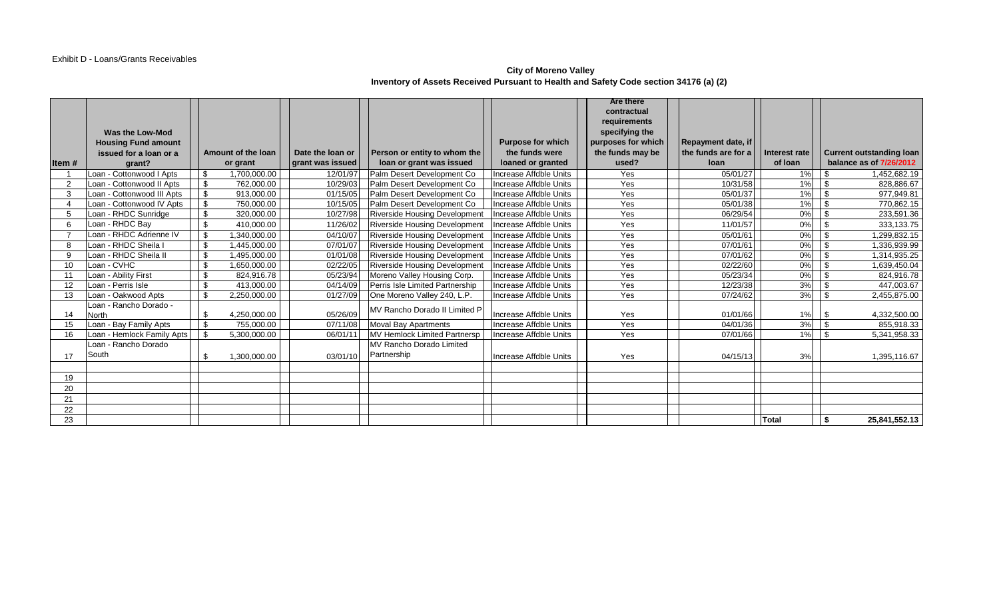#### **City of Moreno Valley Inventory of Assets Received Pursuant to Health and Safety Code section 34176 (a) (2)**

|                |                            |     |                    |                  |                                      |                          | <b>Are there</b>   |                           |                  |            |                          |
|----------------|----------------------------|-----|--------------------|------------------|--------------------------------------|--------------------------|--------------------|---------------------------|------------------|------------|--------------------------|
|                |                            |     |                    |                  |                                      |                          | contractual        |                           |                  |            |                          |
|                |                            |     |                    |                  |                                      |                          | requirements       |                           |                  |            |                          |
|                | Was the Low-Mod            |     |                    |                  |                                      |                          | specifying the     |                           |                  |            |                          |
|                | <b>Housing Fund amount</b> |     |                    |                  |                                      | <b>Purpose for which</b> | purposes for which | <b>Repayment date, if</b> |                  |            |                          |
|                | issued for a loan or a     |     | Amount of the loan | Date the loan or | Person or entity to whom the         | the funds were           | the funds may be   | the funds are for a       | Interest rate    |            | Current outstanding loan |
| Item#          | grant?                     |     | or grant           | grant was issued | loan or grant was issued             | loaned or granted        | used?              | <b>loan</b>               | of loan          |            | balance as of 7/26/2012  |
|                | Loan - Cottonwood I Apts   |     | 1,700,000.00       | 12/01/97         | Palm Desert Development Co           | Increase Affdble Units   | Yes                | 05/01/27                  | 1%               | \$         | 1,452,682.19             |
| $\overline{2}$ | Loan - Cottonwood II Apts  | \$  | 762,000.00         | 10/29/03         | Palm Desert Development Co           | Increase Affdble Units   | Yes                | 10/31/58                  | 1%               | $\sqrt{3}$ | 828,886.67               |
| 3              | Loan - Cottonwood III Apts | \$  | 913,000.00         | 01/15/05         | Palm Desert Development Co           | Increase Affdble Units   | Yes                | 05/01/37                  | $1\%$            | $\sqrt{3}$ | 977,949.81               |
|                | coan - Cottonwood IV Apts  | \$  | 750,000.00         | 10/15/05         | Palm Desert Development Co           | Increase Affdble Units   | Yes                | 05/01/38                  | 1%               | l \$       | 770,862.15               |
| 5              | Loan - RHDC Sunridge       | \$  | 320,000.00         | 10/27/98         | <b>Riverside Housing Development</b> | Increase Affdble Units   | Yes                | 06/29/54                  | 0%               | $\sqrt{3}$ | 233,591.36               |
| 6              | Loan - RHDC Bay            |     | 410,000.00         | 11/26/02         | Riverside Housing Development        | Increase Affdble Units   | Yes                | 11/01/57                  | 0%               | l \$       | 333,133.75               |
|                | Loan - RHDC Adrienne IV    | \$. | 1,340,000.00       | 04/10/07         | <b>Riverside Housing Development</b> | Increase Affdble Units   | Yes                | 05/01/61                  | 0%               | $1$ \$     | 1,299,832.15             |
| 8              | Loan - RHDC Sheila I       |     | 1,445,000.00       | 07/01/07         | <b>Riverside Housing Development</b> | Increase Affdble Units   | Yes                | 07/01/61                  | $\overline{0\%}$ | l \$       | 1,336,939.99             |
| 9              | Loan - RHDC Sheila II      | \$  | ,495,000.00        | 01/01/08         | <b>Riverside Housing Development</b> | Increase Affdble Units   | Yes                | 07/01/62                  | 0%               | $\sqrt{3}$ | 1,314,935.25             |
| 10             | Loan - CVHC                |     | 1,650,000.00       | 02/22/05         | <b>Riverside Housing Development</b> | Increase Affdble Units   | Yes                | 02/22/60                  | 0%               | l \$       | 1,639,450.04             |
| 11             | Loan - Ability First       | \$  | 824.916.78         | 05/23/94         | Moreno Valley Housing Corp.          | Increase Affdble Units   | Yes                | 05/23/34                  | 0%               | l \$       | 824,916.78               |
| 12             | Loan - Perris Isle         |     | 413,000.00         | 04/14/09         | Perris Isle Limited Partnership      | Increase Affdble Units   | Yes                | 12/23/38                  | 3%               | $\sqrt{3}$ | 447,003.67               |
| 13             | Loan - Oakwood Apts        | \$  | 2,250,000.00       | 01/27/09         | One Moreno Valley 240, L.P.          | Increase Affdble Units   | Yes                | 07/24/62                  | 3%               | l \$       | 2,455,875.00             |
|                | Loan - Rancho Dorado -     |     |                    |                  | MV Rancho Dorado II Limited P        |                          |                    |                           |                  |            |                          |
| 14             | North                      | \$  | 4,250,000.00       | 05/26/09         |                                      | Increase Affdble Units   | Yes                | 01/01/66                  | 1%               | l \$       | 4,332,500.00             |
| 15             | Loan - Bay Family Apts     | \$  | 755,000.00         | 07/11/08         | <b>Moval Bay Apartments</b>          | Increase Affdble Units   | Yes                | 04/01/36                  | 3%               | $\vert$ \$ | 855,918.33               |
| 16             | Loan - Hemlock Family Apts | -\$ | 5,300,000.00       | 06/01/11         | MV Hemlock Limited Partnersp         | Increase Affdble Units   | Yes                | 07/01/66                  | 1%               | $\sqrt{3}$ | 5,341,958.33             |
|                | Loan - Rancho Dorado       |     |                    |                  | MV Rancho Dorado Limited             |                          |                    |                           |                  |            |                          |
| 17             | South                      | \$  | 1,300,000.00       | 03/01/10         | Partnership                          | Increase Affdble Units   | Yes                | 04/15/13                  | 3%               |            | 1,395,116.67             |
|                |                            |     |                    |                  |                                      |                          |                    |                           |                  |            |                          |
| 19             |                            |     |                    |                  |                                      |                          |                    |                           |                  |            |                          |
| 20             |                            |     |                    |                  |                                      |                          |                    |                           |                  |            |                          |
| 21             |                            |     |                    |                  |                                      |                          |                    |                           |                  |            |                          |
| 22             |                            |     |                    |                  |                                      |                          |                    |                           |                  |            |                          |
| 23             |                            |     |                    |                  |                                      |                          |                    |                           | Total            | <b>\$</b>  | 25,841,552.13            |